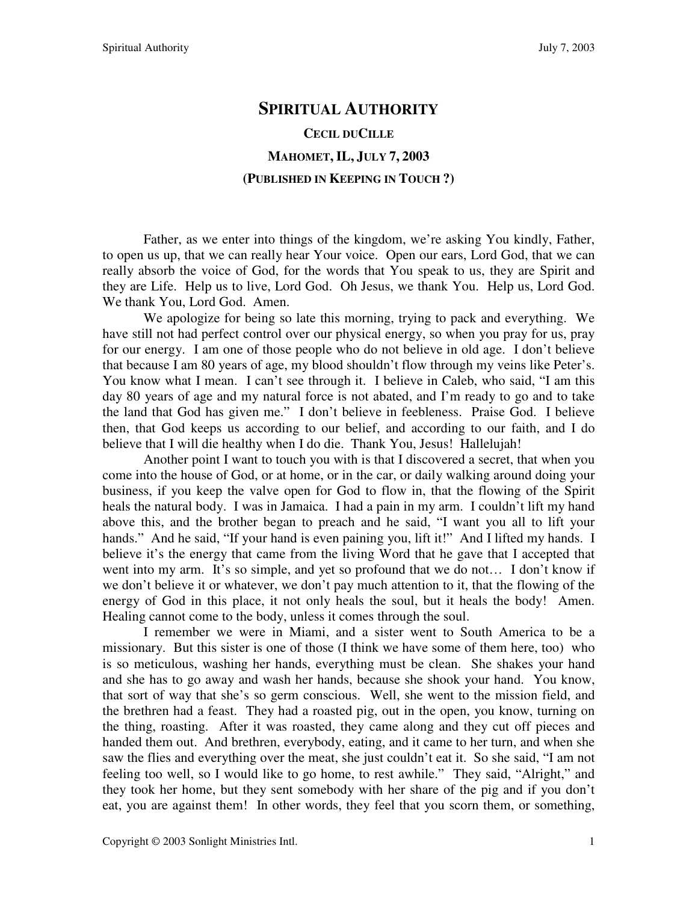# **SPIRITUAL AUTHORITY CECIL DUCILLE MAHOMET, IL, JULY 7, 2003 (PUBLISHED IN KEEPING IN TOUCH ?)**

Father, as we enter into things of the kingdom, we're asking You kindly, Father, to open us up, that we can really hear Your voice. Open our ears, Lord God, that we can really absorb the voice of God, for the words that You speak to us, they are Spirit and they are Life. Help us to live, Lord God. Oh Jesus, we thank You. Help us, Lord God. We thank You, Lord God. Amen.

We apologize for being so late this morning, trying to pack and everything. We have still not had perfect control over our physical energy, so when you pray for us, pray for our energy. I am one of those people who do not believe in old age. I don't believe that because I am 80 years of age, my blood shouldn't flow through my veins like Peter's. You know what I mean. I can't see through it. I believe in Caleb, who said, "I am this day 80 years of age and my natural force is not abated, and I'm ready to go and to take the land that God has given me." I don't believe in feebleness. Praise God. I believe then, that God keeps us according to our belief, and according to our faith, and I do believe that I will die healthy when I do die. Thank You, Jesus! Hallelujah!

Another point I want to touch you with is that I discovered a secret, that when you come into the house of God, or at home, or in the car, or daily walking around doing your business, if you keep the valve open for God to flow in, that the flowing of the Spirit heals the natural body. I was in Jamaica. I had a pain in my arm. I couldn't lift my hand above this, and the brother began to preach and he said, "I want you all to lift your hands." And he said, "If your hand is even paining you, lift it!" And I lifted my hands. I believe it's the energy that came from the living Word that he gave that I accepted that went into my arm. It's so simple, and yet so profound that we do not… I don't know if we don't believe it or whatever, we don't pay much attention to it, that the flowing of the energy of God in this place, it not only heals the soul, but it heals the body! Amen. Healing cannot come to the body, unless it comes through the soul.

I remember we were in Miami, and a sister went to South America to be a missionary. But this sister is one of those (I think we have some of them here, too) who is so meticulous, washing her hands, everything must be clean. She shakes your hand and she has to go away and wash her hands, because she shook your hand. You know, that sort of way that she's so germ conscious. Well, she went to the mission field, and the brethren had a feast. They had a roasted pig, out in the open, you know, turning on the thing, roasting. After it was roasted, they came along and they cut off pieces and handed them out. And brethren, everybody, eating, and it came to her turn, and when she saw the flies and everything over the meat, she just couldn't eat it. So she said, "I am not feeling too well, so I would like to go home, to rest awhile." They said, "Alright," and they took her home, but they sent somebody with her share of the pig and if you don't eat, you are against them! In other words, they feel that you scorn them, or something,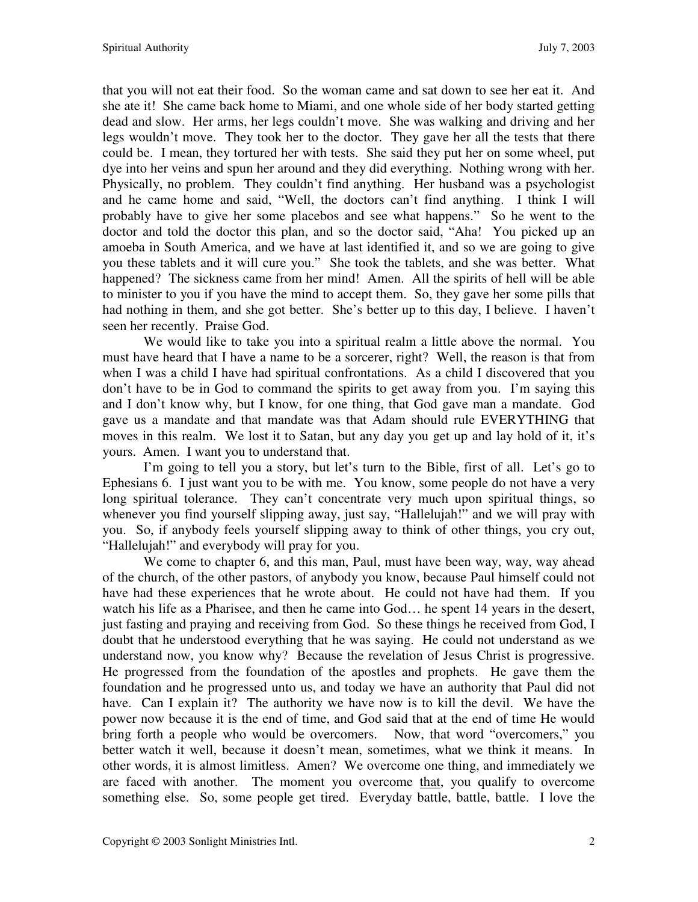that you will not eat their food. So the woman came and sat down to see her eat it. And she ate it! She came back home to Miami, and one whole side of her body started getting dead and slow. Her arms, her legs couldn't move. She was walking and driving and her legs wouldn't move. They took her to the doctor. They gave her all the tests that there could be. I mean, they tortured her with tests. She said they put her on some wheel, put dye into her veins and spun her around and they did everything. Nothing wrong with her. Physically, no problem. They couldn't find anything. Her husband was a psychologist and he came home and said, "Well, the doctors can't find anything. I think I will probably have to give her some placebos and see what happens." So he went to the doctor and told the doctor this plan, and so the doctor said, "Aha! You picked up an amoeba in South America, and we have at last identified it, and so we are going to give you these tablets and it will cure you." She took the tablets, and she was better. What happened? The sickness came from her mind! Amen. All the spirits of hell will be able to minister to you if you have the mind to accept them. So, they gave her some pills that had nothing in them, and she got better. She's better up to this day, I believe. I haven't seen her recently. Praise God.

We would like to take you into a spiritual realm a little above the normal. You must have heard that I have a name to be a sorcerer, right? Well, the reason is that from when I was a child I have had spiritual confrontations. As a child I discovered that you don't have to be in God to command the spirits to get away from you. I'm saying this and I don't know why, but I know, for one thing, that God gave man a mandate. God gave us a mandate and that mandate was that Adam should rule EVERYTHING that moves in this realm. We lost it to Satan, but any day you get up and lay hold of it, it's yours. Amen. I want you to understand that.

I'm going to tell you a story, but let's turn to the Bible, first of all. Let's go to Ephesians 6. I just want you to be with me. You know, some people do not have a very long spiritual tolerance. They can't concentrate very much upon spiritual things, so whenever you find yourself slipping away, just say, "Hallelujah!" and we will pray with you. So, if anybody feels yourself slipping away to think of other things, you cry out, "Hallelujah!" and everybody will pray for you.

We come to chapter 6, and this man, Paul, must have been way, way, way ahead of the church, of the other pastors, of anybody you know, because Paul himself could not have had these experiences that he wrote about. He could not have had them. If you watch his life as a Pharisee, and then he came into God… he spent 14 years in the desert, just fasting and praying and receiving from God. So these things he received from God, I doubt that he understood everything that he was saying. He could not understand as we understand now, you know why? Because the revelation of Jesus Christ is progressive. He progressed from the foundation of the apostles and prophets. He gave them the foundation and he progressed unto us, and today we have an authority that Paul did not have. Can I explain it? The authority we have now is to kill the devil. We have the power now because it is the end of time, and God said that at the end of time He would bring forth a people who would be overcomers. Now, that word "overcomers," you better watch it well, because it doesn't mean, sometimes, what we think it means. In other words, it is almost limitless. Amen? We overcome one thing, and immediately we are faced with another. The moment you overcome that, you qualify to overcome something else. So, some people get tired. Everyday battle, battle, battle. I love the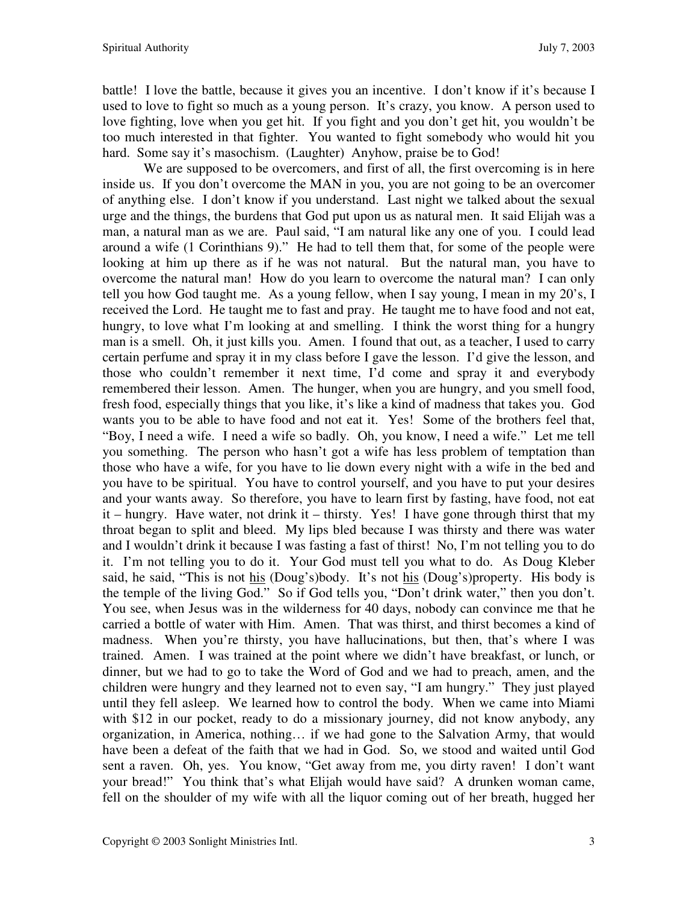battle! I love the battle, because it gives you an incentive. I don't know if it's because I used to love to fight so much as a young person. It's crazy, you know. A person used to love fighting, love when you get hit. If you fight and you don't get hit, you wouldn't be too much interested in that fighter. You wanted to fight somebody who would hit you hard. Some say it's masochism. (Laughter) Anyhow, praise be to God!

We are supposed to be overcomers, and first of all, the first overcoming is in here inside us. If you don't overcome the MAN in you, you are not going to be an overcomer of anything else. I don't know if you understand. Last night we talked about the sexual urge and the things, the burdens that God put upon us as natural men. It said Elijah was a man, a natural man as we are. Paul said, "I am natural like any one of you. I could lead around a wife (1 Corinthians 9)." He had to tell them that, for some of the people were looking at him up there as if he was not natural. But the natural man, you have to overcome the natural man! How do you learn to overcome the natural man? I can only tell you how God taught me. As a young fellow, when I say young, I mean in my 20's, I received the Lord. He taught me to fast and pray. He taught me to have food and not eat, hungry, to love what I'm looking at and smelling. I think the worst thing for a hungry man is a smell. Oh, it just kills you. Amen. I found that out, as a teacher, I used to carry certain perfume and spray it in my class before I gave the lesson. I'd give the lesson, and those who couldn't remember it next time, I'd come and spray it and everybody remembered their lesson. Amen. The hunger, when you are hungry, and you smell food, fresh food, especially things that you like, it's like a kind of madness that takes you. God wants you to be able to have food and not eat it. Yes! Some of the brothers feel that, "Boy, I need a wife. I need a wife so badly. Oh, you know, I need a wife." Let me tell you something. The person who hasn't got a wife has less problem of temptation than those who have a wife, for you have to lie down every night with a wife in the bed and you have to be spiritual. You have to control yourself, and you have to put your desires and your wants away. So therefore, you have to learn first by fasting, have food, not eat it – hungry. Have water, not drink it – thirsty. Yes! I have gone through thirst that my throat began to split and bleed. My lips bled because I was thirsty and there was water and I wouldn't drink it because I was fasting a fast of thirst! No, I'm not telling you to do it. I'm not telling you to do it. Your God must tell you what to do. As Doug Kleber said, he said, "This is not his (Doug's)body. It's not his (Doug's)property. His body is the temple of the living God." So if God tells you, "Don't drink water," then you don't. You see, when Jesus was in the wilderness for 40 days, nobody can convince me that he carried a bottle of water with Him. Amen. That was thirst, and thirst becomes a kind of madness. When you're thirsty, you have hallucinations, but then, that's where I was trained. Amen. I was trained at the point where we didn't have breakfast, or lunch, or dinner, but we had to go to take the Word of God and we had to preach, amen, and the children were hungry and they learned not to even say, "I am hungry." They just played until they fell asleep. We learned how to control the body. When we came into Miami with \$12 in our pocket, ready to do a missionary journey, did not know anybody, any organization, in America, nothing… if we had gone to the Salvation Army, that would have been a defeat of the faith that we had in God. So, we stood and waited until God sent a raven. Oh, yes. You know, "Get away from me, you dirty raven! I don't want your bread!" You think that's what Elijah would have said? A drunken woman came, fell on the shoulder of my wife with all the liquor coming out of her breath, hugged her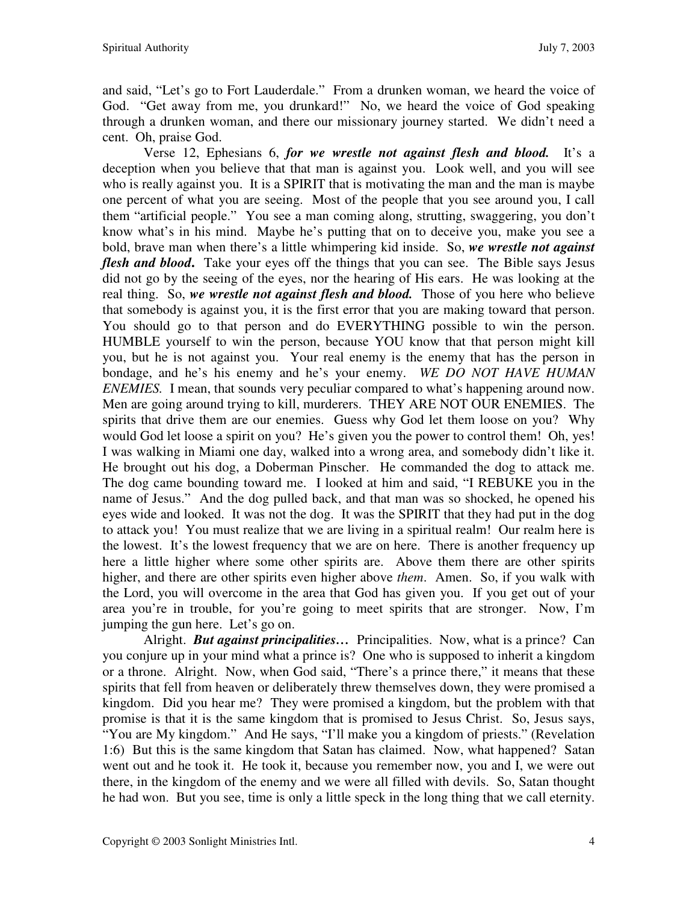and said, "Let's go to Fort Lauderdale." From a drunken woman, we heard the voice of God. "Get away from me, you drunkard!" No, we heard the voice of God speaking through a drunken woman, and there our missionary journey started. We didn't need a cent. Oh, praise God.

Verse 12, Ephesians 6, *for we wrestle not against flesh and blood.* It's a deception when you believe that that man is against you. Look well, and you will see who is really against you. It is a SPIRIT that is motivating the man and the man is maybe one percent of what you are seeing. Most of the people that you see around you, I call them "artificial people." You see a man coming along, strutting, swaggering, you don't know what's in his mind. Maybe he's putting that on to deceive you, make you see a bold, brave man when there's a little whimpering kid inside. So, *we wrestle not against flesh and blood***.** Take your eyes off the things that you can see. The Bible says Jesus did not go by the seeing of the eyes, nor the hearing of His ears. He was looking at the real thing. So, *we wrestle not against flesh and blood.* Those of you here who believe that somebody is against you, it is the first error that you are making toward that person. You should go to that person and do EVERYTHING possible to win the person. HUMBLE yourself to win the person, because YOU know that that person might kill you, but he is not against you. Your real enemy is the enemy that has the person in bondage, and he's his enemy and he's your enemy. *WE DO NOT HAVE HUMAN ENEMIES.* I mean, that sounds very peculiar compared to what's happening around now. Men are going around trying to kill, murderers. THEY ARE NOT OUR ENEMIES. The spirits that drive them are our enemies. Guess why God let them loose on you? Why would God let loose a spirit on you? He's given you the power to control them! Oh, yes! I was walking in Miami one day, walked into a wrong area, and somebody didn't like it. He brought out his dog, a Doberman Pinscher. He commanded the dog to attack me. The dog came bounding toward me. I looked at him and said, "I REBUKE you in the name of Jesus." And the dog pulled back, and that man was so shocked, he opened his eyes wide and looked. It was not the dog. It was the SPIRIT that they had put in the dog to attack you! You must realize that we are living in a spiritual realm! Our realm here is the lowest. It's the lowest frequency that we are on here. There is another frequency up here a little higher where some other spirits are. Above them there are other spirits higher, and there are other spirits even higher above *them*. Amen. So, if you walk with the Lord, you will overcome in the area that God has given you. If you get out of your area you're in trouble, for you're going to meet spirits that are stronger. Now, I'm jumping the gun here. Let's go on.

Alright. **But against principalities...** Principalities. Now, what is a prince? Can you conjure up in your mind what a prince is? One who is supposed to inherit a kingdom or a throne. Alright. Now, when God said, "There's a prince there," it means that these spirits that fell from heaven or deliberately threw themselves down, they were promised a kingdom. Did you hear me? They were promised a kingdom, but the problem with that promise is that it is the same kingdom that is promised to Jesus Christ. So, Jesus says, "You are My kingdom." And He says, "I'll make you a kingdom of priests." (Revelation 1:6) But this is the same kingdom that Satan has claimed. Now, what happened? Satan went out and he took it. He took it, because you remember now, you and I, we were out there, in the kingdom of the enemy and we were all filled with devils. So, Satan thought he had won. But you see, time is only a little speck in the long thing that we call eternity.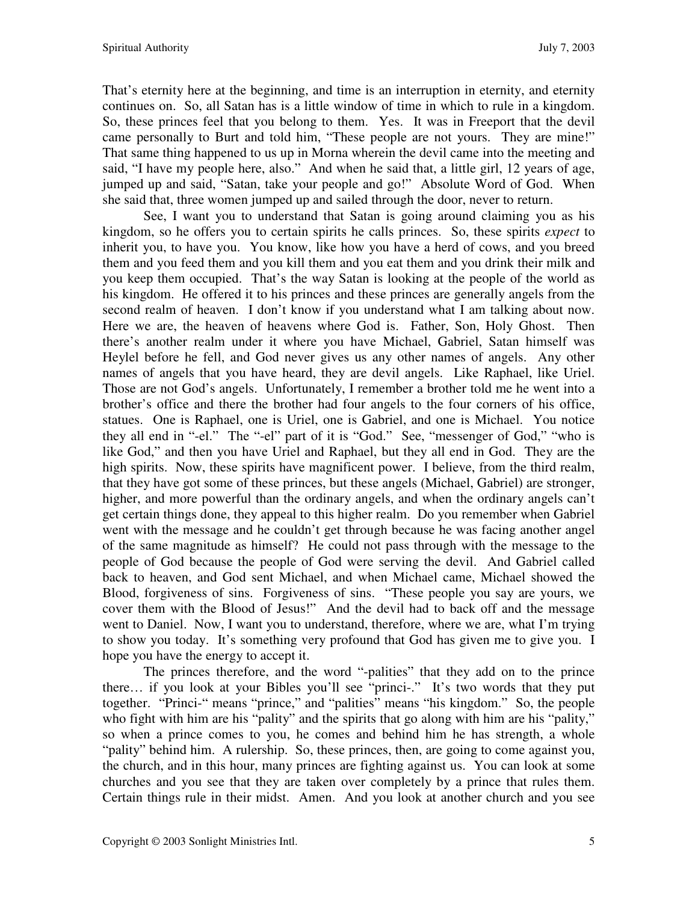That's eternity here at the beginning, and time is an interruption in eternity, and eternity continues on. So, all Satan has is a little window of time in which to rule in a kingdom. So, these princes feel that you belong to them. Yes. It was in Freeport that the devil came personally to Burt and told him, "These people are not yours. They are mine!" That same thing happened to us up in Morna wherein the devil came into the meeting and said, "I have my people here, also." And when he said that, a little girl, 12 years of age, jumped up and said, "Satan, take your people and go!" Absolute Word of God. When she said that, three women jumped up and sailed through the door, never to return.

See, I want you to understand that Satan is going around claiming you as his kingdom, so he offers you to certain spirits he calls princes. So, these spirits *expect* to inherit you, to have you. You know, like how you have a herd of cows, and you breed them and you feed them and you kill them and you eat them and you drink their milk and you keep them occupied. That's the way Satan is looking at the people of the world as his kingdom. He offered it to his princes and these princes are generally angels from the second realm of heaven. I don't know if you understand what I am talking about now. Here we are, the heaven of heavens where God is. Father, Son, Holy Ghost. Then there's another realm under it where you have Michael, Gabriel, Satan himself was Heylel before he fell, and God never gives us any other names of angels. Any other names of angels that you have heard, they are devil angels. Like Raphael, like Uriel. Those are not God's angels. Unfortunately, I remember a brother told me he went into a brother's office and there the brother had four angels to the four corners of his office, statues. One is Raphael, one is Uriel, one is Gabriel, and one is Michael. You notice they all end in "-el." The "-el" part of it is "God." See, "messenger of God," "who is like God," and then you have Uriel and Raphael, but they all end in God. They are the high spirits. Now, these spirits have magnificent power. I believe, from the third realm, that they have got some of these princes, but these angels (Michael, Gabriel) are stronger, higher, and more powerful than the ordinary angels, and when the ordinary angels can't get certain things done, they appeal to this higher realm. Do you remember when Gabriel went with the message and he couldn't get through because he was facing another angel of the same magnitude as himself? He could not pass through with the message to the people of God because the people of God were serving the devil. And Gabriel called back to heaven, and God sent Michael, and when Michael came, Michael showed the Blood, forgiveness of sins. Forgiveness of sins. "These people you say are yours, we cover them with the Blood of Jesus!" And the devil had to back off and the message went to Daniel. Now, I want you to understand, therefore, where we are, what I'm trying to show you today. It's something very profound that God has given me to give you. I hope you have the energy to accept it.

The princes therefore, and the word "-palities" that they add on to the prince there… if you look at your Bibles you'll see "princi-." It's two words that they put together. "Princi-" means "prince," and "palities" means "his kingdom." So, the people who fight with him are his "pality" and the spirits that go along with him are his "pality," so when a prince comes to you, he comes and behind him he has strength, a whole "pality" behind him. A rulership. So, these princes, then, are going to come against you, the church, and in this hour, many princes are fighting against us. You can look at some churches and you see that they are taken over completely by a prince that rules them. Certain things rule in their midst. Amen. And you look at another church and you see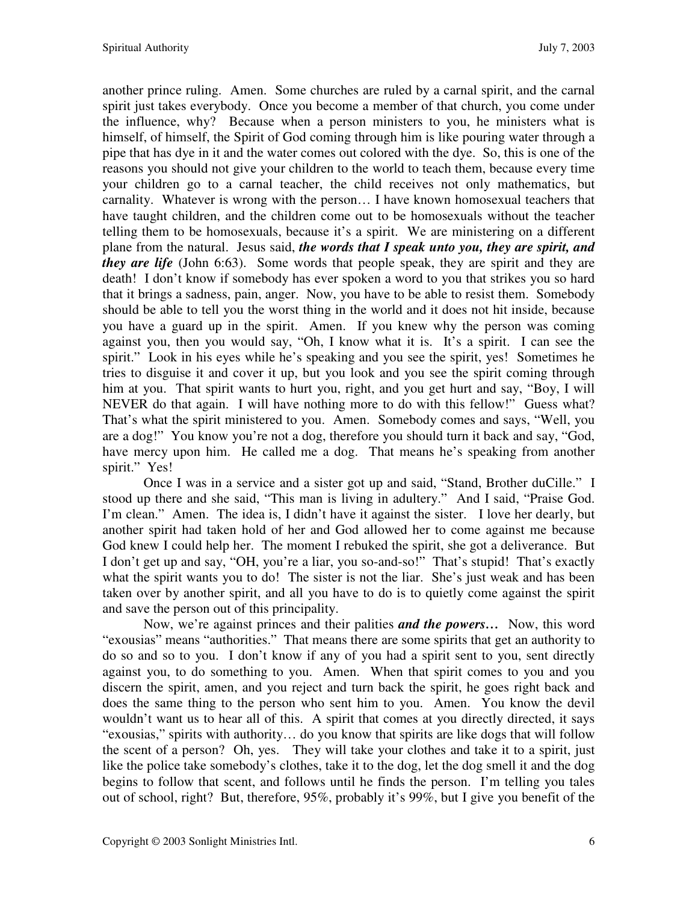another prince ruling. Amen. Some churches are ruled by a carnal spirit, and the carnal spirit just takes everybody. Once you become a member of that church, you come under the influence, why? Because when a person ministers to you, he ministers what is himself, of himself, the Spirit of God coming through him is like pouring water through a pipe that has dye in it and the water comes out colored with the dye. So, this is one of the reasons you should not give your children to the world to teach them, because every time your children go to a carnal teacher, the child receives not only mathematics, but carnality. Whatever is wrong with the person… I have known homosexual teachers that have taught children, and the children come out to be homosexuals without the teacher telling them to be homosexuals, because it's a spirit. We are ministering on a different plane from the natural. Jesus said, *the words that I speak unto you, they are spirit, and they are life* (John 6:63). Some words that people speak, they are spirit and they are death! I don't know if somebody has ever spoken a word to you that strikes you so hard that it brings a sadness, pain, anger. Now, you have to be able to resist them. Somebody should be able to tell you the worst thing in the world and it does not hit inside, because you have a guard up in the spirit. Amen. If you knew why the person was coming against you, then you would say, "Oh, I know what it is. It's a spirit. I can see the spirit." Look in his eyes while he's speaking and you see the spirit, yes! Sometimes he tries to disguise it and cover it up, but you look and you see the spirit coming through him at you. That spirit wants to hurt you, right, and you get hurt and say, "Boy, I will NEVER do that again. I will have nothing more to do with this fellow!" Guess what? That's what the spirit ministered to you. Amen. Somebody comes and says, "Well, you are a dog!" You know you're not a dog, therefore you should turn it back and say, "God, have mercy upon him. He called me a dog. That means he's speaking from another spirit." Yes!

Once I was in a service and a sister got up and said, "Stand, Brother duCille." I stood up there and she said, "This man is living in adultery." And I said, "Praise God. I'm clean." Amen. The idea is, I didn't have it against the sister. I love her dearly, but another spirit had taken hold of her and God allowed her to come against me because God knew I could help her. The moment I rebuked the spirit, she got a deliverance. But I don't get up and say, "OH, you're a liar, you so-and-so!" That's stupid! That's exactly what the spirit wants you to do! The sister is not the liar. She's just weak and has been taken over by another spirit, and all you have to do is to quietly come against the spirit and save the person out of this principality.

Now, we're against princes and their palities *and the powers…*Now, this word "exousias" means "authorities." That means there are some spirits that get an authority to do so and so to you. I don't know if any of you had a spirit sent to you, sent directly against you, to do something to you. Amen. When that spirit comes to you and you discern the spirit, amen, and you reject and turn back the spirit, he goes right back and does the same thing to the person who sent him to you. Amen. You know the devil wouldn't want us to hear all of this. A spirit that comes at you directly directed, it says "exousias," spirits with authority… do you know that spirits are like dogs that will follow the scent of a person? Oh, yes. They will take your clothes and take it to a spirit, just like the police take somebody's clothes, take it to the dog, let the dog smell it and the dog begins to follow that scent, and follows until he finds the person. I'm telling you tales out of school, right? But, therefore, 95%, probably it's 99%, but I give you benefit of the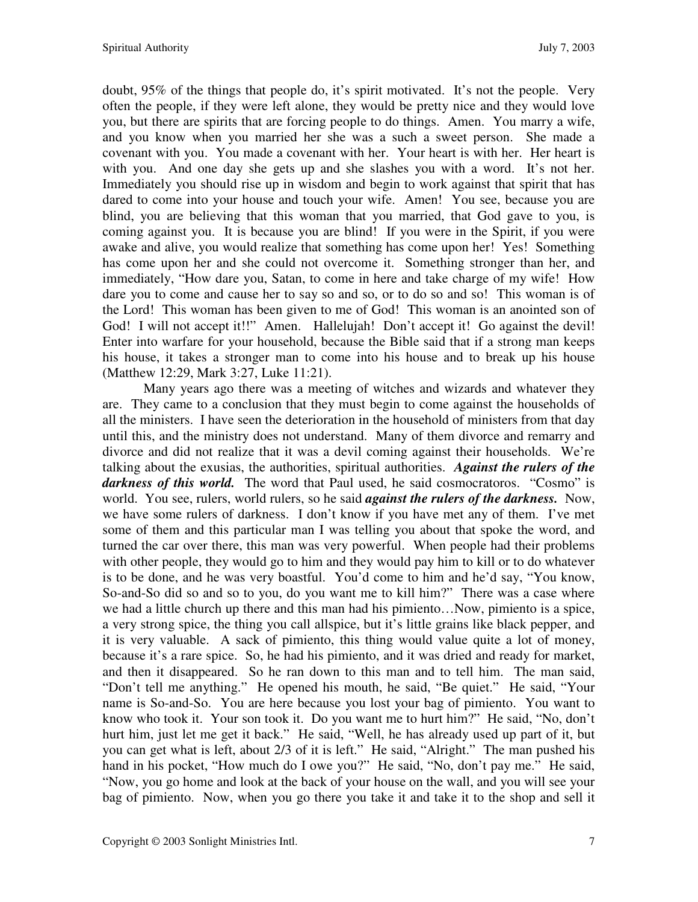doubt, 95% of the things that people do, it's spirit motivated. It's not the people. Very often the people, if they were left alone, they would be pretty nice and they would love you, but there are spirits that are forcing people to do things. Amen. You marry a wife, and you know when you married her she was a such a sweet person. She made a covenant with you. You made a covenant with her. Your heart is with her. Her heart is with you. And one day she gets up and she slashes you with a word. It's not her. Immediately you should rise up in wisdom and begin to work against that spirit that has dared to come into your house and touch your wife. Amen! You see, because you are blind, you are believing that this woman that you married, that God gave to you, is coming against you. It is because you are blind! If you were in the Spirit, if you were awake and alive, you would realize that something has come upon her! Yes! Something has come upon her and she could not overcome it. Something stronger than her, and immediately, "How dare you, Satan, to come in here and take charge of my wife! How dare you to come and cause her to say so and so, or to do so and so! This woman is of the Lord! This woman has been given to me of God! This woman is an anointed son of God! I will not accept it!!" Amen. Hallelujah! Don't accept it! Go against the devil! Enter into warfare for your household, because the Bible said that if a strong man keeps his house, it takes a stronger man to come into his house and to break up his house (Matthew 12:29, Mark 3:27, Luke 11:21).

Many years ago there was a meeting of witches and wizards and whatever they are. They came to a conclusion that they must begin to come against the households of all the ministers. I have seen the deterioration in the household of ministers from that day until this, and the ministry does not understand. Many of them divorce and remarry and divorce and did not realize that it was a devil coming against their households. We're talking about the exusias, the authorities, spiritual authorities. *Against the rulers of the darkness of this world.* The word that Paul used, he said cosmocratoros. "Cosmo" is world. You see, rulers, world rulers, so he said *against the rulers of the darkness.* Now, we have some rulers of darkness. I don't know if you have met any of them. I've met some of them and this particular man I was telling you about that spoke the word, and turned the car over there, this man was very powerful. When people had their problems with other people, they would go to him and they would pay him to kill or to do whatever is to be done, and he was very boastful. You'd come to him and he'd say, "You know, So-and-So did so and so to you, do you want me to kill him?" There was a case where we had a little church up there and this man had his pimiento…Now, pimiento is a spice, a very strong spice, the thing you call allspice, but it's little grains like black pepper, and it is very valuable. A sack of pimiento, this thing would value quite a lot of money, because it's a rare spice. So, he had his pimiento, and it was dried and ready for market, and then it disappeared. So he ran down to this man and to tell him. The man said, "Don't tell me anything." He opened his mouth, he said, "Be quiet." He said, "Your name is So-and-So. You are here because you lost your bag of pimiento. You want to know who took it. Your son took it. Do you want me to hurt him?" He said, "No, don't hurt him, just let me get it back." He said, "Well, he has already used up part of it, but you can get what is left, about 2/3 of it is left." He said, "Alright." The man pushed his hand in his pocket, "How much do I owe you?" He said, "No, don't pay me." He said, "Now, you go home and look at the back of your house on the wall, and you will see your bag of pimiento. Now, when you go there you take it and take it to the shop and sell it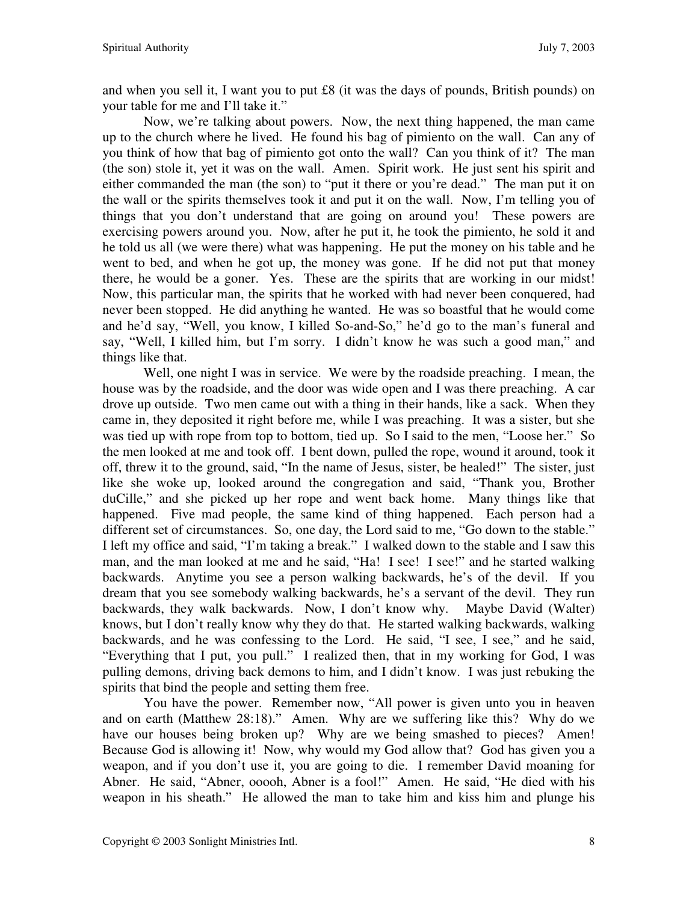and when you sell it, I want you to put £8 (it was the days of pounds, British pounds) on your table for me and I'll take it."

Now, we're talking about powers. Now, the next thing happened, the man came up to the church where he lived. He found his bag of pimiento on the wall. Can any of you think of how that bag of pimiento got onto the wall? Can you think of it? The man (the son) stole it, yet it was on the wall. Amen. Spirit work. He just sent his spirit and either commanded the man (the son) to "put it there or you're dead." The man put it on the wall or the spirits themselves took it and put it on the wall. Now, I'm telling you of things that you don't understand that are going on around you! These powers are exercising powers around you. Now, after he put it, he took the pimiento, he sold it and he told us all (we were there) what was happening. He put the money on his table and he went to bed, and when he got up, the money was gone. If he did not put that money there, he would be a goner. Yes. These are the spirits that are working in our midst! Now, this particular man, the spirits that he worked with had never been conquered, had never been stopped. He did anything he wanted. He was so boastful that he would come and he'd say, "Well, you know, I killed So-and-So," he'd go to the man's funeral and say, "Well, I killed him, but I'm sorry. I didn't know he was such a good man," and things like that.

Well, one night I was in service. We were by the roadside preaching. I mean, the house was by the roadside, and the door was wide open and I was there preaching. A car drove up outside. Two men came out with a thing in their hands, like a sack. When they came in, they deposited it right before me, while I was preaching. It was a sister, but she was tied up with rope from top to bottom, tied up. So I said to the men, "Loose her." So the men looked at me and took off. I bent down, pulled the rope, wound it around, took it off, threw it to the ground, said, "In the name of Jesus, sister, be healed!" The sister, just like she woke up, looked around the congregation and said, "Thank you, Brother duCille," and she picked up her rope and went back home. Many things like that happened. Five mad people, the same kind of thing happened. Each person had a different set of circumstances. So, one day, the Lord said to me, "Go down to the stable." I left my office and said, "I'm taking a break." I walked down to the stable and I saw this man, and the man looked at me and he said, "Ha! I see! I see!" and he started walking backwards. Anytime you see a person walking backwards, he's of the devil. If you dream that you see somebody walking backwards, he's a servant of the devil. They run backwards, they walk backwards. Now, I don't know why. Maybe David (Walter) knows, but I don't really know why they do that. He started walking backwards, walking backwards, and he was confessing to the Lord. He said, "I see, I see," and he said, "Everything that I put, you pull." I realized then, that in my working for God, I was pulling demons, driving back demons to him, and I didn't know. I was just rebuking the spirits that bind the people and setting them free.

You have the power. Remember now, "All power is given unto you in heaven and on earth (Matthew 28:18)." Amen. Why are we suffering like this? Why do we have our houses being broken up? Why are we being smashed to pieces? Amen! Because God is allowing it! Now, why would my God allow that? God has given you a weapon, and if you don't use it, you are going to die. I remember David moaning for Abner. He said, "Abner, ooooh, Abner is a fool!" Amen. He said, "He died with his weapon in his sheath." He allowed the man to take him and kiss him and plunge his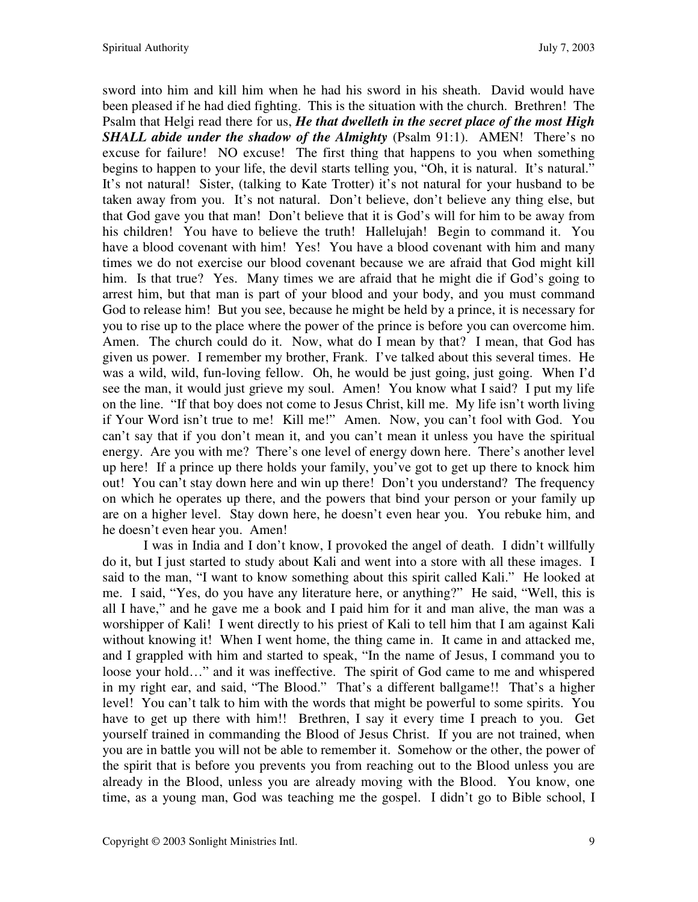sword into him and kill him when he had his sword in his sheath. David would have been pleased if he had died fighting. This is the situation with the church. Brethren! The Psalm that Helgi read there for us, *He that dwelleth in the secret place of the most High SHALL abide under the shadow of the Almighty (Psalm 91:1). AMEN! There's no* excuse for failure! NO excuse! The first thing that happens to you when something begins to happen to your life, the devil starts telling you, "Oh, it is natural. It's natural." It's not natural! Sister, (talking to Kate Trotter) it's not natural for your husband to be taken away from you. It's not natural. Don't believe, don't believe any thing else, but that God gave you that man! Don't believe that it is God's will for him to be away from his children! You have to believe the truth! Hallelujah! Begin to command it. You have a blood covenant with him! Yes! You have a blood covenant with him and many times we do not exercise our blood covenant because we are afraid that God might kill him. Is that true? Yes. Many times we are afraid that he might die if God's going to arrest him, but that man is part of your blood and your body, and you must command God to release him! But you see, because he might be held by a prince, it is necessary for you to rise up to the place where the power of the prince is before you can overcome him. Amen. The church could do it. Now, what do I mean by that? I mean, that God has given us power. I remember my brother, Frank. I've talked about this several times. He was a wild, wild, fun-loving fellow. Oh, he would be just going, just going. When I'd see the man, it would just grieve my soul. Amen! You know what I said? I put my life on the line. "If that boy does not come to Jesus Christ, kill me. My life isn't worth living if Your Word isn't true to me! Kill me!" Amen. Now, you can't fool with God. You can't say that if you don't mean it, and you can't mean it unless you have the spiritual energy. Are you with me? There's one level of energy down here. There's another level up here! If a prince up there holds your family, you've got to get up there to knock him out! You can't stay down here and win up there! Don't you understand? The frequency on which he operates up there, and the powers that bind your person or your family up are on a higher level. Stay down here, he doesn't even hear you. You rebuke him, and he doesn't even hear you. Amen!

I was in India and I don't know, I provoked the angel of death. I didn't willfully do it, but I just started to study about Kali and went into a store with all these images. I said to the man, "I want to know something about this spirit called Kali." He looked at me. I said, "Yes, do you have any literature here, or anything?" He said, "Well, this is all I have," and he gave me a book and I paid him for it and man alive, the man was a worshipper of Kali! I went directly to his priest of Kali to tell him that I am against Kali without knowing it! When I went home, the thing came in. It came in and attacked me, and I grappled with him and started to speak, "In the name of Jesus, I command you to loose your hold…" and it was ineffective. The spirit of God came to me and whispered in my right ear, and said, "The Blood." That's a different ballgame!! That's a higher level! You can't talk to him with the words that might be powerful to some spirits. You have to get up there with him!! Brethren, I say it every time I preach to you. Get yourself trained in commanding the Blood of Jesus Christ. If you are not trained, when you are in battle you will not be able to remember it. Somehow or the other, the power of the spirit that is before you prevents you from reaching out to the Blood unless you are already in the Blood, unless you are already moving with the Blood. You know, one time, as a young man, God was teaching me the gospel. I didn't go to Bible school, I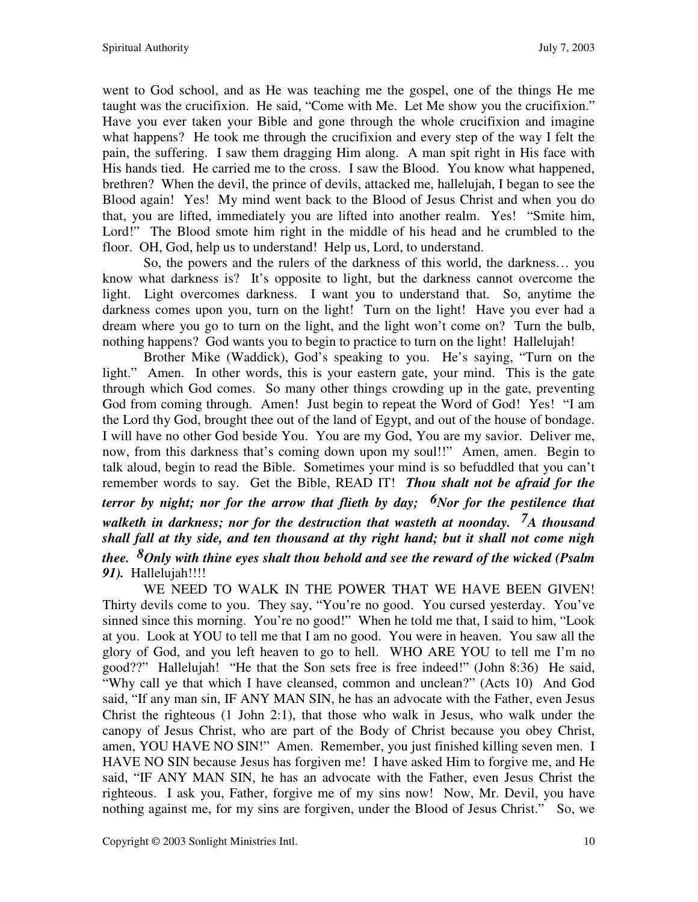went to God school, and as He was teaching me the gospel, one of the things He me taught was the crucifixion. He said, "Come with Me. Let Me show you the crucifixion." Have you ever taken your Bible and gone through the whole crucifixion and imagine what happens? He took me through the crucifixion and every step of the way I felt the pain, the suffering. I saw them dragging Him along. A man spit right in His face with His hands tied. He carried me to the cross. I saw the Blood. You know what happened, brethren? When the devil, the prince of devils, attacked me, hallelujah, I began to see the Blood again! Yes! My mind went back to the Blood of Jesus Christ and when you do that, you are lifted, immediately you are lifted into another realm. Yes! "Smite him, Lord!" The Blood smote him right in the middle of his head and he crumbled to the floor. OH, God, help us to understand! Help us, Lord, to understand.

So, the powers and the rulers of the darkness of this world, the darkness… you know what darkness is? It's opposite to light, but the darkness cannot overcome the light. Light overcomes darkness. I want you to understand that. So, anytime the darkness comes upon you, turn on the light! Turn on the light! Have you ever had a dream where you go to turn on the light, and the light won't come on? Turn the bulb, nothing happens? God wants you to begin to practice to turn on the light! Hallelujah!

Brother Mike (Waddick), God's speaking to you. He's saying, "Turn on the light." Amen. In other words, this is your eastern gate, your mind. This is the gate through which God comes. So many other things crowding up in the gate, preventing God from coming through. Amen! Just begin to repeat the Word of God! Yes! "I am the Lord thy God, brought thee out of the land of Egypt, and out of the house of bondage. I will have no other God beside You. You are my God, You are my savior. Deliver me, now, from this darkness that's coming down upon my soul!!" Amen, amen. Begin to talk aloud, begin to read the Bible. Sometimes your mind is so befuddled that you can't remember words to say. Get the Bible, READ IT! *Thou shalt not be afraid for the terror by night; nor for the arrow that flieth by day; <sup>6</sup>Nor for the pestilence that walketh in darkness; nor for the destruction that wasteth at noonday. 7A thousand shall fall at thy side, and ten thousand at thy right hand; but it shall not come nigh thee. 8Only with thine eyes shalt thou behold and see the reward of the wicked (Psalm 91).* Hallelujah!!!!

WE NEED TO WALK IN THE POWER THAT WE HAVE BEEN GIVEN! Thirty devils come to you. They say, "You're no good. You cursed yesterday. You've sinned since this morning. You're no good!" When he told me that, I said to him, "Look at you. Look at YOU to tell me that I am no good. You were in heaven. You saw all the glory of God, and you left heaven to go to hell. WHO ARE YOU to tell me I'm no good??" Hallelujah! "He that the Son sets free is free indeed!" (John 8:36) He said, "Why call ye that which I have cleansed, common and unclean?" (Acts 10) And God said, "If any man sin, IF ANY MAN SIN, he has an advocate with the Father, even Jesus Christ the righteous (1 John 2:1), that those who walk in Jesus, who walk under the canopy of Jesus Christ, who are part of the Body of Christ because you obey Christ, amen, YOU HAVE NO SIN!" Amen. Remember, you just finished killing seven men. I HAVE NO SIN because Jesus has forgiven me! I have asked Him to forgive me, and He said, "IF ANY MAN SIN, he has an advocate with the Father, even Jesus Christ the righteous. I ask you, Father, forgive me of my sins now! Now, Mr. Devil, you have nothing against me, for my sins are forgiven, under the Blood of Jesus Christ." So, we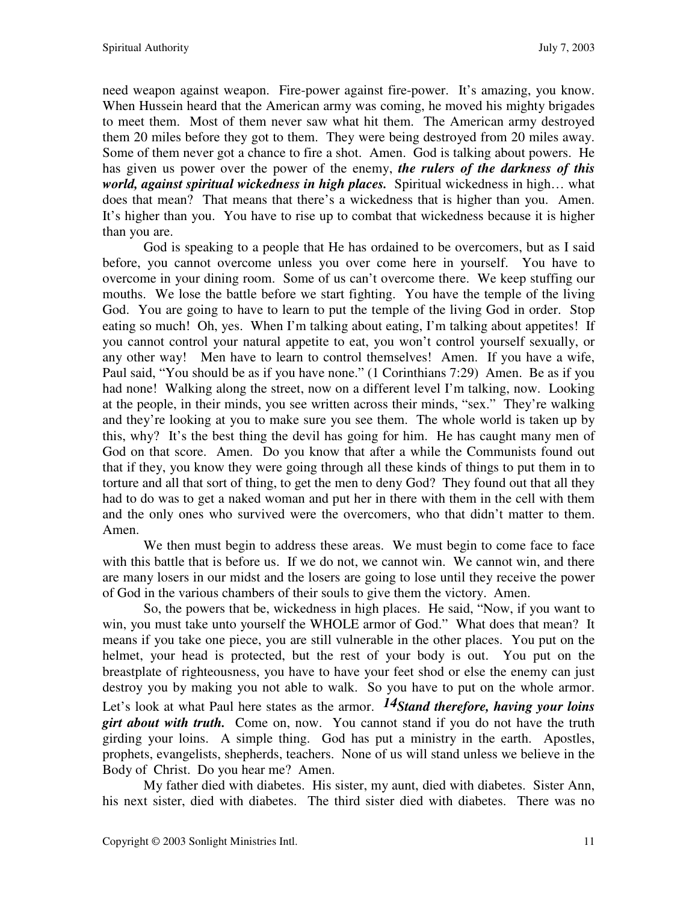need weapon against weapon. Fire-power against fire-power. It's amazing, you know. When Hussein heard that the American army was coming, he moved his mighty brigades to meet them. Most of them never saw what hit them. The American army destroyed them 20 miles before they got to them. They were being destroyed from 20 miles away. Some of them never got a chance to fire a shot. Amen. God is talking about powers. He has given us power over the power of the enemy, *the rulers of the darkness of this world, against spiritual wickedness in high places.* Spiritual wickedness in high… what does that mean? That means that there's a wickedness that is higher than you. Amen. It's higher than you. You have to rise up to combat that wickedness because it is higher than you are.

God is speaking to a people that He has ordained to be overcomers, but as I said before, you cannot overcome unless you over come here in yourself. You have to overcome in your dining room. Some of us can't overcome there. We keep stuffing our mouths. We lose the battle before we start fighting. You have the temple of the living God. You are going to have to learn to put the temple of the living God in order. Stop eating so much! Oh, yes. When I'm talking about eating, I'm talking about appetites! If you cannot control your natural appetite to eat, you won't control yourself sexually, or any other way! Men have to learn to control themselves! Amen. If you have a wife, Paul said, "You should be as if you have none." (1 Corinthians 7:29) Amen. Be as if you had none! Walking along the street, now on a different level I'm talking, now. Looking at the people, in their minds, you see written across their minds, "sex." They're walking and they're looking at you to make sure you see them. The whole world is taken up by this, why? It's the best thing the devil has going for him. He has caught many men of God on that score. Amen. Do you know that after a while the Communists found out that if they, you know they were going through all these kinds of things to put them in to torture and all that sort of thing, to get the men to deny God? They found out that all they had to do was to get a naked woman and put her in there with them in the cell with them and the only ones who survived were the overcomers, who that didn't matter to them. Amen.

We then must begin to address these areas. We must begin to come face to face with this battle that is before us. If we do not, we cannot win. We cannot win, and there are many losers in our midst and the losers are going to lose until they receive the power of God in the various chambers of their souls to give them the victory. Amen.

So, the powers that be, wickedness in high places. He said, "Now, if you want to win, you must take unto yourself the WHOLE armor of God." What does that mean? It means if you take one piece, you are still vulnerable in the other places. You put on the helmet, your head is protected, but the rest of your body is out. You put on the breastplate of righteousness, you have to have your feet shod or else the enemy can just destroy you by making you not able to walk. So you have to put on the whole armor. Let's look at what Paul here states as the armor. *14Stand therefore, having your loins girt about with truth.* Come on, now. You cannot stand if you do not have the truth girding your loins. A simple thing. God has put a ministry in the earth. Apostles, prophets, evangelists, shepherds, teachers. None of us will stand unless we believe in the Body of Christ. Do you hear me? Amen.

My father died with diabetes. His sister, my aunt, died with diabetes. Sister Ann, his next sister, died with diabetes. The third sister died with diabetes. There was no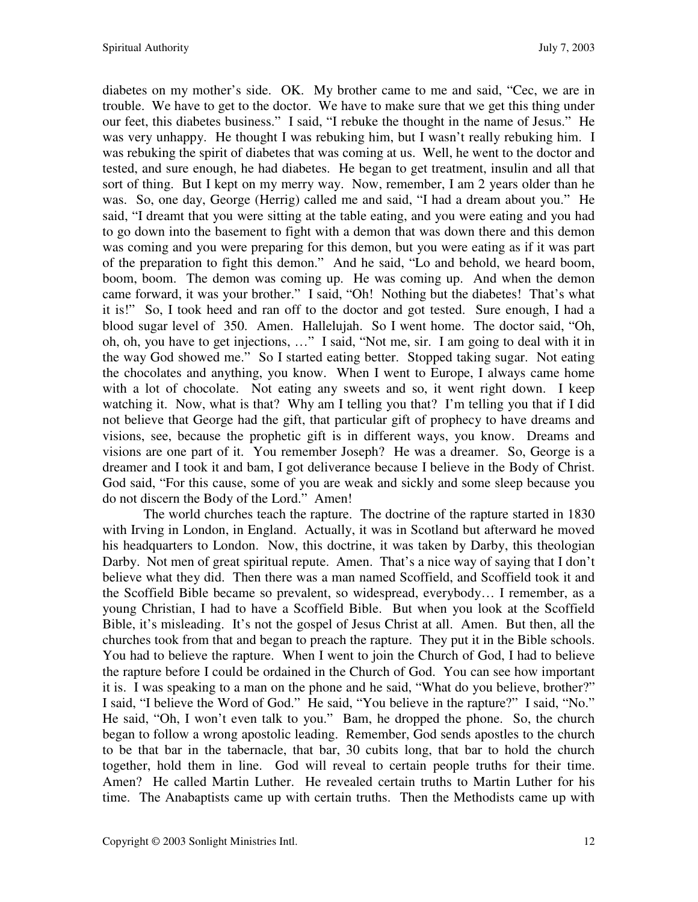diabetes on my mother's side. OK. My brother came to me and said, "Cec, we are in trouble. We have to get to the doctor. We have to make sure that we get this thing under our feet, this diabetes business." I said, "I rebuke the thought in the name of Jesus." He was very unhappy. He thought I was rebuking him, but I wasn't really rebuking him. I was rebuking the spirit of diabetes that was coming at us. Well, he went to the doctor and tested, and sure enough, he had diabetes. He began to get treatment, insulin and all that sort of thing. But I kept on my merry way. Now, remember, I am 2 years older than he was. So, one day, George (Herrig) called me and said, "I had a dream about you." He said, "I dreamt that you were sitting at the table eating, and you were eating and you had to go down into the basement to fight with a demon that was down there and this demon was coming and you were preparing for this demon, but you were eating as if it was part of the preparation to fight this demon." And he said, "Lo and behold, we heard boom, boom, boom. The demon was coming up. He was coming up. And when the demon came forward, it was your brother." I said, "Oh! Nothing but the diabetes! That's what it is!" So, I took heed and ran off to the doctor and got tested. Sure enough, I had a blood sugar level of 350. Amen. Hallelujah. So I went home. The doctor said, "Oh, oh, oh, you have to get injections, …" I said, "Not me, sir. I am going to deal with it in the way God showed me." So I started eating better. Stopped taking sugar. Not eating the chocolates and anything, you know. When I went to Europe, I always came home with a lot of chocolate. Not eating any sweets and so, it went right down. I keep watching it. Now, what is that? Why am I telling you that? I'm telling you that if I did not believe that George had the gift, that particular gift of prophecy to have dreams and visions, see, because the prophetic gift is in different ways, you know. Dreams and visions are one part of it. You remember Joseph? He was a dreamer. So, George is a dreamer and I took it and bam, I got deliverance because I believe in the Body of Christ. God said, "For this cause, some of you are weak and sickly and some sleep because you do not discern the Body of the Lord." Amen!

The world churches teach the rapture. The doctrine of the rapture started in 1830 with Irving in London, in England. Actually, it was in Scotland but afterward he moved his headquarters to London. Now, this doctrine, it was taken by Darby, this theologian Darby. Not men of great spiritual repute. Amen. That's a nice way of saying that I don't believe what they did. Then there was a man named Scoffield, and Scoffield took it and the Scoffield Bible became so prevalent, so widespread, everybody… I remember, as a young Christian, I had to have a Scoffield Bible. But when you look at the Scoffield Bible, it's misleading. It's not the gospel of Jesus Christ at all. Amen. But then, all the churches took from that and began to preach the rapture. They put it in the Bible schools. You had to believe the rapture. When I went to join the Church of God, I had to believe the rapture before I could be ordained in the Church of God. You can see how important it is. I was speaking to a man on the phone and he said, "What do you believe, brother?" I said, "I believe the Word of God." He said, "You believe in the rapture?" I said, "No." He said, "Oh, I won't even talk to you." Bam, he dropped the phone. So, the church began to follow a wrong apostolic leading. Remember, God sends apostles to the church to be that bar in the tabernacle, that bar, 30 cubits long, that bar to hold the church together, hold them in line. God will reveal to certain people truths for their time. Amen? He called Martin Luther. He revealed certain truths to Martin Luther for his time. The Anabaptists came up with certain truths. Then the Methodists came up with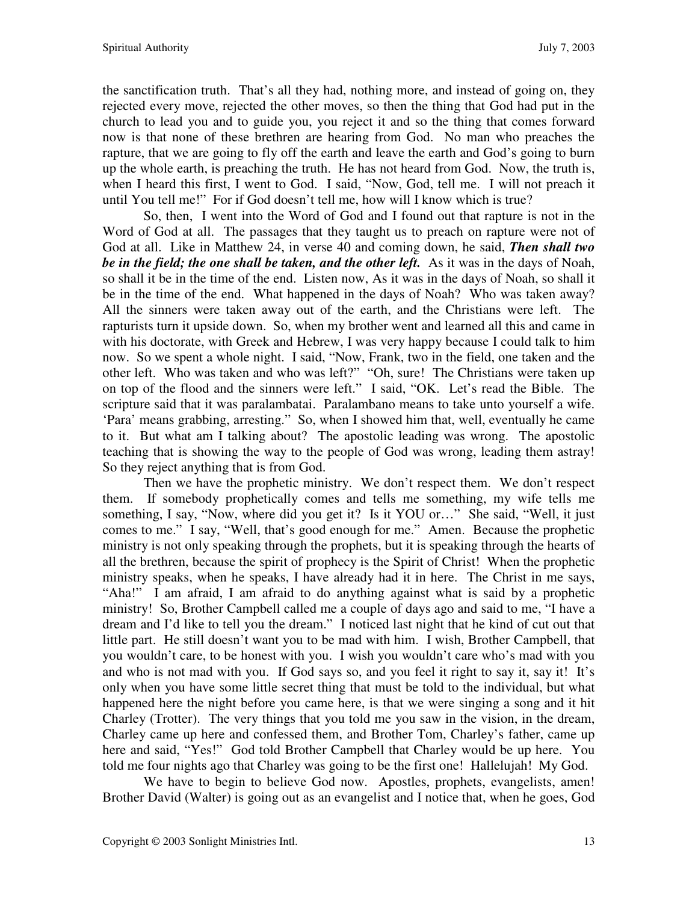the sanctification truth. That's all they had, nothing more, and instead of going on, they rejected every move, rejected the other moves, so then the thing that God had put in the church to lead you and to guide you, you reject it and so the thing that comes forward now is that none of these brethren are hearing from God. No man who preaches the rapture, that we are going to fly off the earth and leave the earth and God's going to burn up the whole earth, is preaching the truth. He has not heard from God. Now, the truth is, when I heard this first, I went to God. I said, "Now, God, tell me. I will not preach it until You tell me!" For if God doesn't tell me, how will I know which is true?

So, then, I went into the Word of God and I found out that rapture is not in the Word of God at all. The passages that they taught us to preach on rapture were not of God at all. Like in Matthew 24, in verse 40 and coming down, he said, *Then shall two be in the field; the one shall be taken, and the other left.* As it was in the days of Noah, so shall it be in the time of the end. Listen now, As it was in the days of Noah, so shall it be in the time of the end. What happened in the days of Noah? Who was taken away? All the sinners were taken away out of the earth, and the Christians were left. The rapturists turn it upside down. So, when my brother went and learned all this and came in with his doctorate, with Greek and Hebrew, I was very happy because I could talk to him now. So we spent a whole night. I said, "Now, Frank, two in the field, one taken and the other left. Who was taken and who was left?" "Oh, sure! The Christians were taken up on top of the flood and the sinners were left." I said, "OK. Let's read the Bible. The scripture said that it was paralambatai. Paralambano means to take unto yourself a wife. 'Para' means grabbing, arresting." So, when I showed him that, well, eventually he came to it. But what am I talking about? The apostolic leading was wrong. The apostolic teaching that is showing the way to the people of God was wrong, leading them astray! So they reject anything that is from God.

Then we have the prophetic ministry. We don't respect them. We don't respect them. If somebody prophetically comes and tells me something, my wife tells me something, I say, "Now, where did you get it? Is it YOU or…" She said, "Well, it just comes to me." I say, "Well, that's good enough for me." Amen. Because the prophetic ministry is not only speaking through the prophets, but it is speaking through the hearts of all the brethren, because the spirit of prophecy is the Spirit of Christ! When the prophetic ministry speaks, when he speaks, I have already had it in here. The Christ in me says, "Aha!" I am afraid, I am afraid to do anything against what is said by a prophetic ministry! So, Brother Campbell called me a couple of days ago and said to me, "I have a dream and I'd like to tell you the dream." I noticed last night that he kind of cut out that little part. He still doesn't want you to be mad with him. I wish, Brother Campbell, that you wouldn't care, to be honest with you. I wish you wouldn't care who's mad with you and who is not mad with you. If God says so, and you feel it right to say it, say it! It's only when you have some little secret thing that must be told to the individual, but what happened here the night before you came here, is that we were singing a song and it hit Charley (Trotter). The very things that you told me you saw in the vision, in the dream, Charley came up here and confessed them, and Brother Tom, Charley's father, came up here and said, "Yes!" God told Brother Campbell that Charley would be up here. You told me four nights ago that Charley was going to be the first one! Hallelujah! My God.

We have to begin to believe God now. Apostles, prophets, evangelists, amen! Brother David (Walter) is going out as an evangelist and I notice that, when he goes, God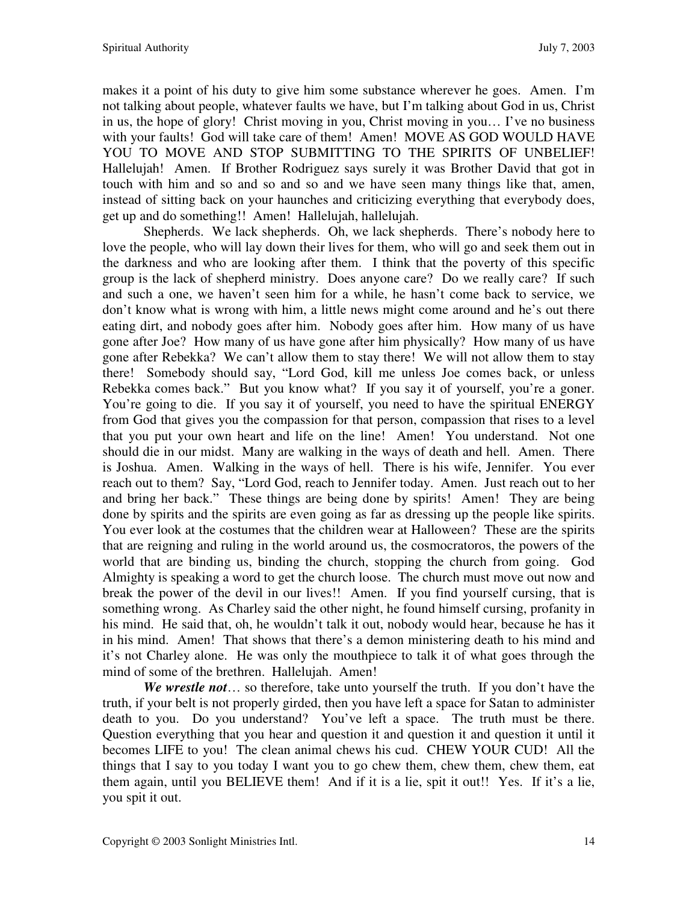makes it a point of his duty to give him some substance wherever he goes. Amen. I'm not talking about people, whatever faults we have, but I'm talking about God in us, Christ in us, the hope of glory! Christ moving in you, Christ moving in you… I've no business with your faults! God will take care of them! Amen! MOVE AS GOD WOULD HAVE YOU TO MOVE AND STOP SUBMITTING TO THE SPIRITS OF UNBELIEF! Hallelujah! Amen. If Brother Rodriguez says surely it was Brother David that got in touch with him and so and so and so and we have seen many things like that, amen, instead of sitting back on your haunches and criticizing everything that everybody does, get up and do something!! Amen! Hallelujah, hallelujah.

Shepherds. We lack shepherds. Oh, we lack shepherds. There's nobody here to love the people, who will lay down their lives for them, who will go and seek them out in the darkness and who are looking after them. I think that the poverty of this specific group is the lack of shepherd ministry. Does anyone care? Do we really care? If such and such a one, we haven't seen him for a while, he hasn't come back to service, we don't know what is wrong with him, a little news might come around and he's out there eating dirt, and nobody goes after him. Nobody goes after him. How many of us have gone after Joe? How many of us have gone after him physically? How many of us have gone after Rebekka? We can't allow them to stay there! We will not allow them to stay there! Somebody should say, "Lord God, kill me unless Joe comes back, or unless Rebekka comes back." But you know what? If you say it of yourself, you're a goner. You're going to die. If you say it of yourself, you need to have the spiritual ENERGY from God that gives you the compassion for that person, compassion that rises to a level that you put your own heart and life on the line! Amen! You understand. Not one should die in our midst. Many are walking in the ways of death and hell. Amen. There is Joshua. Amen. Walking in the ways of hell. There is his wife, Jennifer. You ever reach out to them? Say, "Lord God, reach to Jennifer today. Amen. Just reach out to her and bring her back." These things are being done by spirits! Amen! They are being done by spirits and the spirits are even going as far as dressing up the people like spirits. You ever look at the costumes that the children wear at Halloween? These are the spirits that are reigning and ruling in the world around us, the cosmocratoros, the powers of the world that are binding us, binding the church, stopping the church from going. God Almighty is speaking a word to get the church loose. The church must move out now and break the power of the devil in our lives!! Amen. If you find yourself cursing, that is something wrong. As Charley said the other night, he found himself cursing, profanity in his mind. He said that, oh, he wouldn't talk it out, nobody would hear, because he has it in his mind. Amen! That shows that there's a demon ministering death to his mind and it's not Charley alone. He was only the mouthpiece to talk it of what goes through the mind of some of the brethren. Hallelujah. Amen!

*We wrestle not*… so therefore, take unto yourself the truth. If you don't have the truth, if your belt is not properly girded, then you have left a space for Satan to administer death to you. Do you understand? You've left a space. The truth must be there. Question everything that you hear and question it and question it and question it until it becomes LIFE to you! The clean animal chews his cud. CHEW YOUR CUD! All the things that I say to you today I want you to go chew them, chew them, chew them, eat them again, until you BELIEVE them! And if it is a lie, spit it out!! Yes. If it's a lie, you spit it out.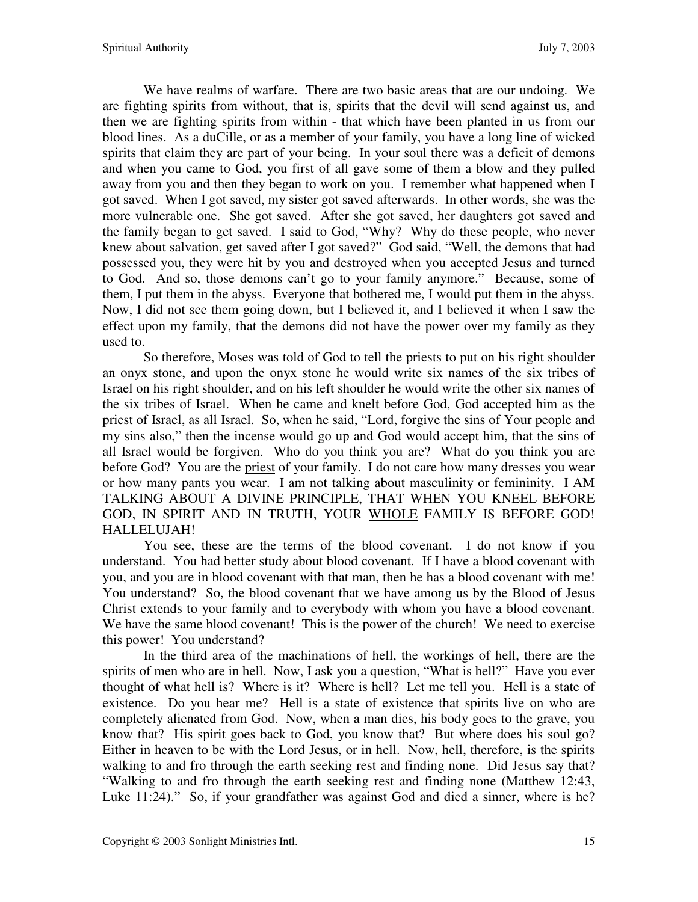We have realms of warfare. There are two basic areas that are our undoing. We are fighting spirits from without, that is, spirits that the devil will send against us, and then we are fighting spirits from within - that which have been planted in us from our blood lines. As a duCille, or as a member of your family, you have a long line of wicked spirits that claim they are part of your being. In your soul there was a deficit of demons and when you came to God, you first of all gave some of them a blow and they pulled away from you and then they began to work on you. I remember what happened when I got saved. When I got saved, my sister got saved afterwards. In other words, she was the more vulnerable one. She got saved. After she got saved, her daughters got saved and the family began to get saved. I said to God, "Why? Why do these people, who never knew about salvation, get saved after I got saved?" God said, "Well, the demons that had possessed you, they were hit by you and destroyed when you accepted Jesus and turned to God. And so, those demons can't go to your family anymore." Because, some of them, I put them in the abyss. Everyone that bothered me, I would put them in the abyss. Now, I did not see them going down, but I believed it, and I believed it when I saw the effect upon my family, that the demons did not have the power over my family as they used to.

So therefore, Moses was told of God to tell the priests to put on his right shoulder an onyx stone, and upon the onyx stone he would write six names of the six tribes of Israel on his right shoulder, and on his left shoulder he would write the other six names of the six tribes of Israel. When he came and knelt before God, God accepted him as the priest of Israel, as all Israel. So, when he said, "Lord, forgive the sins of Your people and my sins also," then the incense would go up and God would accept him, that the sins of all Israel would be forgiven. Who do you think you are? What do you think you are before God? You are the priest of your family. I do not care how many dresses you wear or how many pants you wear. I am not talking about masculinity or femininity. I AM TALKING ABOUT A **DIVINE PRINCIPLE**, THAT WHEN YOU KNEEL BEFORE GOD, IN SPIRIT AND IN TRUTH, YOUR WHOLE FAMILY IS BEFORE GOD! HALLELUJAH!

You see, these are the terms of the blood covenant. I do not know if you understand. You had better study about blood covenant. If I have a blood covenant with you, and you are in blood covenant with that man, then he has a blood covenant with me! You understand? So, the blood covenant that we have among us by the Blood of Jesus Christ extends to your family and to everybody with whom you have a blood covenant. We have the same blood covenant! This is the power of the church! We need to exercise this power! You understand?

 In the third area of the machinations of hell, the workings of hell, there are the spirits of men who are in hell. Now, I ask you a question, "What is hell?" Have you ever thought of what hell is? Where is it? Where is hell? Let me tell you. Hell is a state of existence. Do you hear me? Hell is a state of existence that spirits live on who are completely alienated from God. Now, when a man dies, his body goes to the grave, you know that? His spirit goes back to God, you know that? But where does his soul go? Either in heaven to be with the Lord Jesus, or in hell. Now, hell, therefore, is the spirits walking to and fro through the earth seeking rest and finding none. Did Jesus say that? "Walking to and fro through the earth seeking rest and finding none (Matthew 12:43, Luke 11:24)." So, if your grandfather was against God and died a sinner, where is he?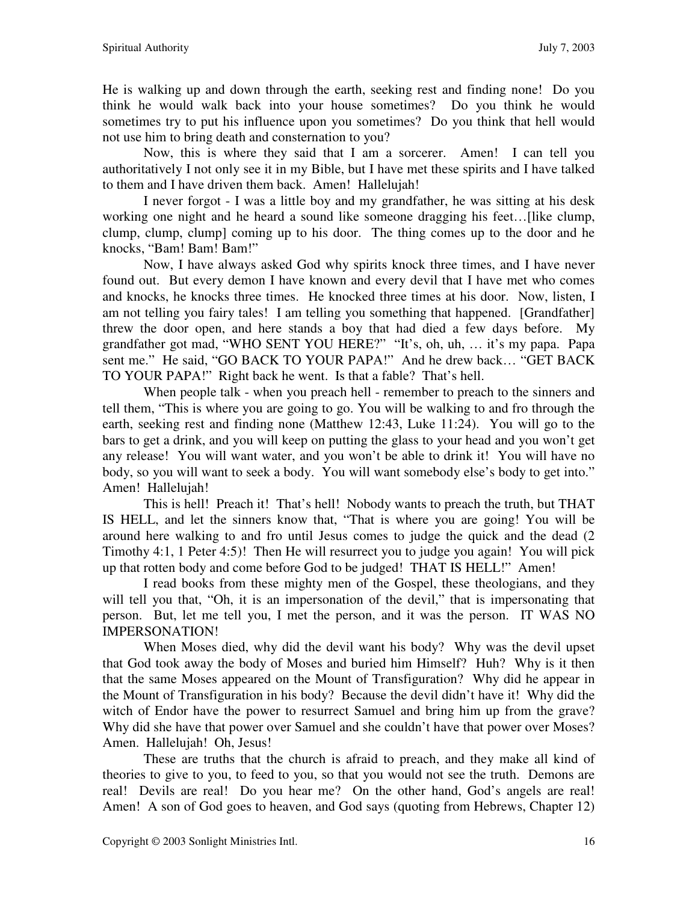He is walking up and down through the earth, seeking rest and finding none! Do you think he would walk back into your house sometimes? Do you think he would sometimes try to put his influence upon you sometimes? Do you think that hell would not use him to bring death and consternation to you?

Now, this is where they said that I am a sorcerer. Amen! I can tell you authoritatively I not only see it in my Bible, but I have met these spirits and I have talked to them and I have driven them back. Amen! Hallelujah!

I never forgot - I was a little boy and my grandfather, he was sitting at his desk working one night and he heard a sound like someone dragging his feet…[like clump, clump, clump, clump] coming up to his door. The thing comes up to the door and he knocks, "Bam! Bam! Bam!"

Now, I have always asked God why spirits knock three times, and I have never found out. But every demon I have known and every devil that I have met who comes and knocks, he knocks three times. He knocked three times at his door. Now, listen, I am not telling you fairy tales! I am telling you something that happened. [Grandfather] threw the door open, and here stands a boy that had died a few days before. My grandfather got mad, "WHO SENT YOU HERE?" "It's, oh, uh, … it's my papa. Papa sent me." He said, "GO BACK TO YOUR PAPA!" And he drew back… "GET BACK TO YOUR PAPA!" Right back he went. Is that a fable? That's hell.

When people talk - when you preach hell - remember to preach to the sinners and tell them, "This is where you are going to go. You will be walking to and fro through the earth, seeking rest and finding none (Matthew 12:43, Luke 11:24). You will go to the bars to get a drink, and you will keep on putting the glass to your head and you won't get any release! You will want water, and you won't be able to drink it! You will have no body, so you will want to seek a body. You will want somebody else's body to get into." Amen! Hallelujah!

This is hell! Preach it! That's hell! Nobody wants to preach the truth, but THAT IS HELL, and let the sinners know that, "That is where you are going! You will be around here walking to and fro until Jesus comes to judge the quick and the dead (2 Timothy 4:1, 1 Peter 4:5)! Then He will resurrect you to judge you again! You will pick up that rotten body and come before God to be judged! THAT IS HELL!" Amen!

I read books from these mighty men of the Gospel, these theologians, and they will tell you that, "Oh, it is an impersonation of the devil," that is impersonating that person. But, let me tell you, I met the person, and it was the person. IT WAS NO IMPERSONATION!

When Moses died, why did the devil want his body? Why was the devil upset that God took away the body of Moses and buried him Himself? Huh? Why is it then that the same Moses appeared on the Mount of Transfiguration? Why did he appear in the Mount of Transfiguration in his body? Because the devil didn't have it! Why did the witch of Endor have the power to resurrect Samuel and bring him up from the grave? Why did she have that power over Samuel and she couldn't have that power over Moses? Amen. Hallelujah! Oh, Jesus!

These are truths that the church is afraid to preach, and they make all kind of theories to give to you, to feed to you, so that you would not see the truth. Demons are real! Devils are real! Do you hear me? On the other hand, God's angels are real! Amen! A son of God goes to heaven, and God says (quoting from Hebrews, Chapter 12)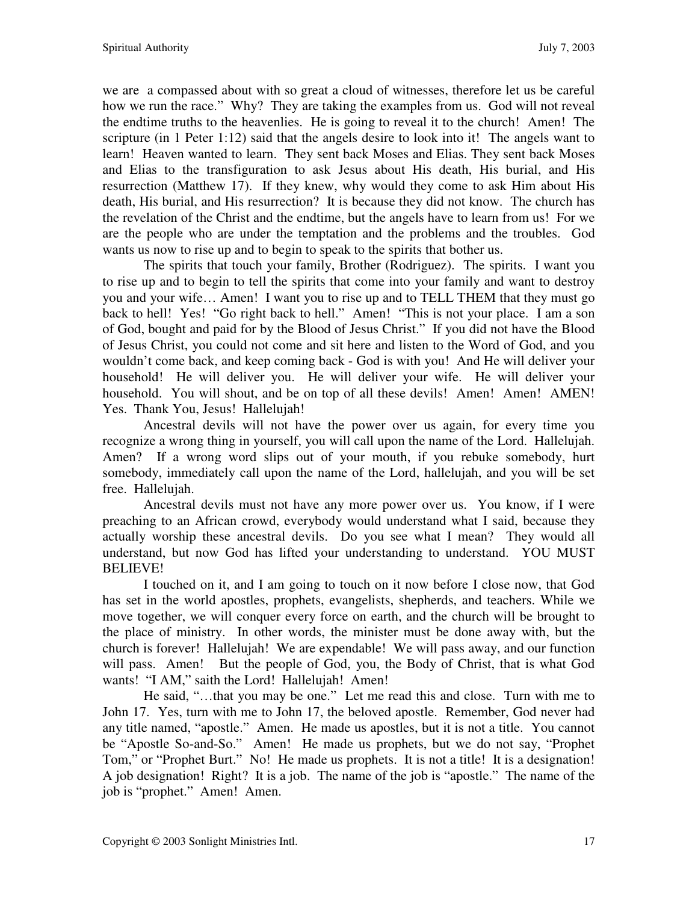we are a compassed about with so great a cloud of witnesses, therefore let us be careful how we run the race." Why? They are taking the examples from us. God will not reveal the endtime truths to the heavenlies. He is going to reveal it to the church! Amen! The scripture (in 1 Peter 1:12) said that the angels desire to look into it! The angels want to learn! Heaven wanted to learn. They sent back Moses and Elias. They sent back Moses and Elias to the transfiguration to ask Jesus about His death, His burial, and His resurrection (Matthew 17). If they knew, why would they come to ask Him about His death, His burial, and His resurrection? It is because they did not know. The church has the revelation of the Christ and the endtime, but the angels have to learn from us! For we are the people who are under the temptation and the problems and the troubles. God wants us now to rise up and to begin to speak to the spirits that bother us.

The spirits that touch your family, Brother (Rodriguez). The spirits. I want you to rise up and to begin to tell the spirits that come into your family and want to destroy you and your wife… Amen! I want you to rise up and to TELL THEM that they must go back to hell! Yes! "Go right back to hell." Amen! "This is not your place. I am a son of God, bought and paid for by the Blood of Jesus Christ." If you did not have the Blood of Jesus Christ, you could not come and sit here and listen to the Word of God, and you wouldn't come back, and keep coming back - God is with you! And He will deliver your household! He will deliver you. He will deliver your wife. He will deliver your household. You will shout, and be on top of all these devils! Amen! Amen! AMEN! Yes. Thank You, Jesus! Hallelujah!

Ancestral devils will not have the power over us again, for every time you recognize a wrong thing in yourself, you will call upon the name of the Lord. Hallelujah. Amen? If a wrong word slips out of your mouth, if you rebuke somebody, hurt somebody, immediately call upon the name of the Lord, hallelujah, and you will be set free. Hallelujah.

Ancestral devils must not have any more power over us. You know, if I were preaching to an African crowd, everybody would understand what I said, because they actually worship these ancestral devils. Do you see what I mean? They would all understand, but now God has lifted your understanding to understand. YOU MUST BELIEVE!

I touched on it, and I am going to touch on it now before I close now, that God has set in the world apostles, prophets, evangelists, shepherds, and teachers. While we move together, we will conquer every force on earth, and the church will be brought to the place of ministry. In other words, the minister must be done away with, but the church is forever! Hallelujah! We are expendable! We will pass away, and our function will pass. Amen! But the people of God, you, the Body of Christ, that is what God wants! "I AM," saith the Lord! Hallelujah! Amen!

He said, "…that you may be one." Let me read this and close. Turn with me to John 17. Yes, turn with me to John 17, the beloved apostle. Remember, God never had any title named, "apostle." Amen. He made us apostles, but it is not a title. You cannot be "Apostle So-and-So." Amen! He made us prophets, but we do not say, "Prophet Tom," or "Prophet Burt." No! He made us prophets. It is not a title! It is a designation! A job designation! Right? It is a job. The name of the job is "apostle." The name of the job is "prophet." Amen! Amen.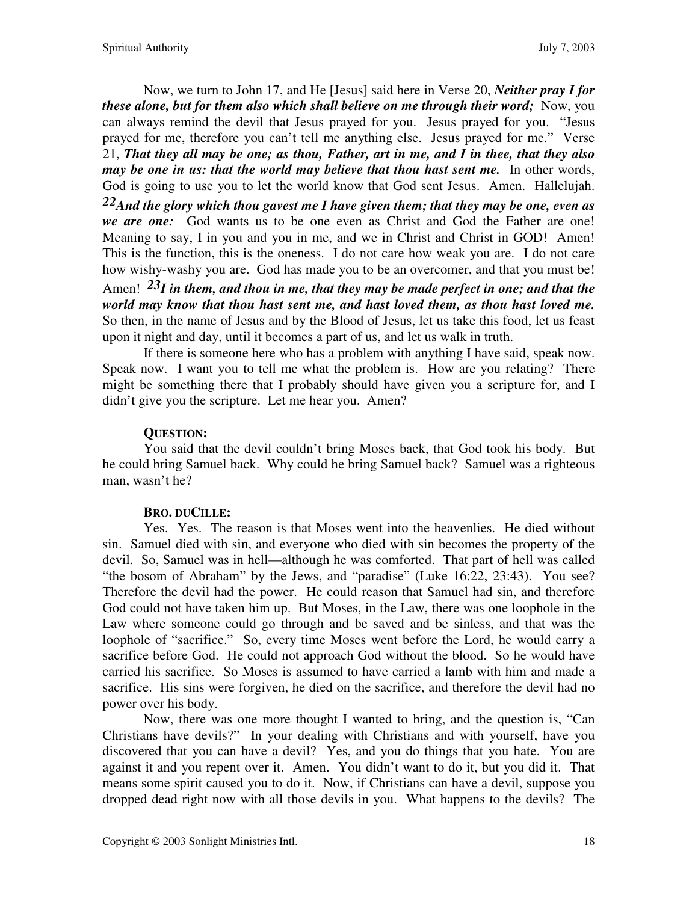Now, we turn to John 17, and He [Jesus] said here in Verse 20, *Neither pray I for these alone, but for them also which shall believe on me through their word;* Now, you can always remind the devil that Jesus prayed for you. Jesus prayed for you. "Jesus prayed for me, therefore you can't tell me anything else. Jesus prayed for me." Verse 21, *That they all may be one; as thou, Father, art in me, and I in thee, that they also may be one in us: that the world may believe that thou hast sent me.* In other words, God is going to use you to let the world know that God sent Jesus. Amen. Hallelujah.

*22And the glory which thou gavest me I have given them; that they may be one, even as we are one:* God wants us to be one even as Christ and God the Father are one! Meaning to say, I in you and you in me, and we in Christ and Christ in GOD! Amen! This is the function, this is the oneness. I do not care how weak you are. I do not care how wishy-washy you are. God has made you to be an overcomer, and that you must be!

Amen! *23I in them, and thou in me, that they may be made perfect in one; and that the world may know that thou hast sent me, and hast loved them, as thou hast loved me.*  So then, in the name of Jesus and by the Blood of Jesus, let us take this food, let us feast upon it night and day, until it becomes a part of us, and let us walk in truth.

 If there is someone here who has a problem with anything I have said, speak now. Speak now. I want you to tell me what the problem is. How are you relating? There might be something there that I probably should have given you a scripture for, and I didn't give you the scripture. Let me hear you. Amen?

## **QUESTION:**

You said that the devil couldn't bring Moses back, that God took his body. But he could bring Samuel back. Why could he bring Samuel back? Samuel was a righteous man, wasn't he?

## **BRO. DUCILLE:**

Yes. Yes. The reason is that Moses went into the heavenlies. He died without sin. Samuel died with sin, and everyone who died with sin becomes the property of the devil. So, Samuel was in hell—although he was comforted. That part of hell was called "the bosom of Abraham" by the Jews, and "paradise" (Luke 16:22, 23:43). You see? Therefore the devil had the power. He could reason that Samuel had sin, and therefore God could not have taken him up. But Moses, in the Law, there was one loophole in the Law where someone could go through and be saved and be sinless, and that was the loophole of "sacrifice." So, every time Moses went before the Lord, he would carry a sacrifice before God. He could not approach God without the blood. So he would have carried his sacrifice. So Moses is assumed to have carried a lamb with him and made a sacrifice. His sins were forgiven, he died on the sacrifice, and therefore the devil had no power over his body.

Now, there was one more thought I wanted to bring, and the question is, "Can Christians have devils?" In your dealing with Christians and with yourself, have you discovered that you can have a devil? Yes, and you do things that you hate. You are against it and you repent over it. Amen. You didn't want to do it, but you did it. That means some spirit caused you to do it. Now, if Christians can have a devil, suppose you dropped dead right now with all those devils in you. What happens to the devils? The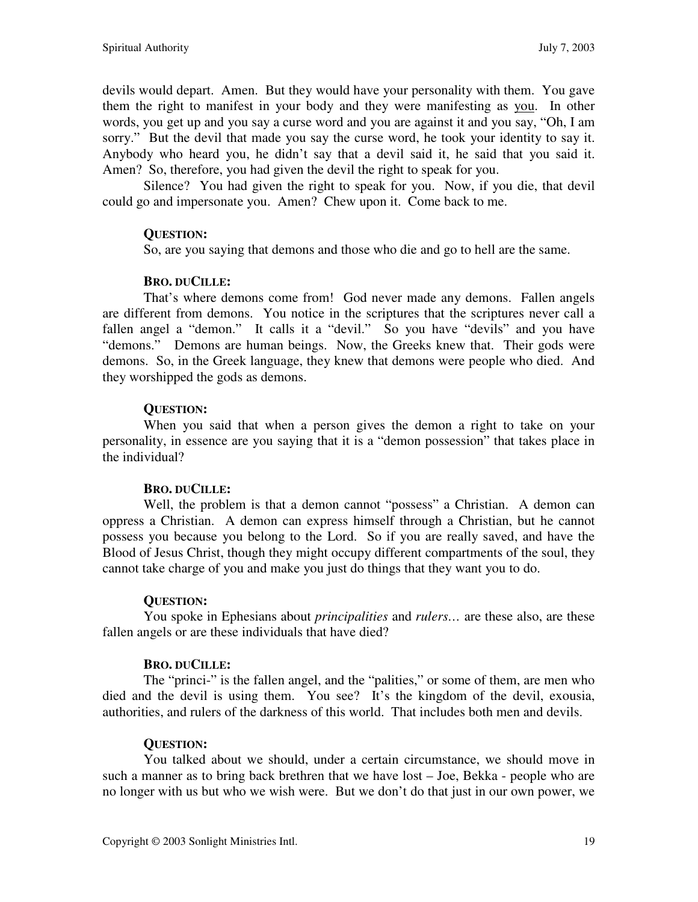devils would depart. Amen. But they would have your personality with them. You gave them the right to manifest in your body and they were manifesting as you. In other words, you get up and you say a curse word and you are against it and you say, "Oh, I am sorry." But the devil that made you say the curse word, he took your identity to say it. Anybody who heard you, he didn't say that a devil said it, he said that you said it. Amen? So, therefore, you had given the devil the right to speak for you.

Silence? You had given the right to speak for you. Now, if you die, that devil could go and impersonate you. Amen? Chew upon it. Come back to me.

## **QUESTION:**

So, are you saying that demons and those who die and go to hell are the same.

## **BRO. DUCILLE:**

 That's where demons come from! God never made any demons. Fallen angels are different from demons. You notice in the scriptures that the scriptures never call a fallen angel a "demon." It calls it a "devil." So you have "devils" and you have "demons." Demons are human beings. Now, the Greeks knew that. Their gods were demons. So, in the Greek language, they knew that demons were people who died. And they worshipped the gods as demons.

## **QUESTION:**

When you said that when a person gives the demon a right to take on your personality, in essence are you saying that it is a "demon possession" that takes place in the individual?

## **BRO. DUCILLE:**

Well, the problem is that a demon cannot "possess" a Christian. A demon can oppress a Christian. A demon can express himself through a Christian, but he cannot possess you because you belong to the Lord. So if you are really saved, and have the Blood of Jesus Christ, though they might occupy different compartments of the soul, they cannot take charge of you and make you just do things that they want you to do.

## **QUESTION:**

You spoke in Ephesians about *principalities* and *rulers…* are these also, are these fallen angels or are these individuals that have died?

## **BRO. DUCILLE:**

The "princi-" is the fallen angel, and the "palities," or some of them, are men who died and the devil is using them. You see? It's the kingdom of the devil, exousia, authorities, and rulers of the darkness of this world. That includes both men and devils.

# **QUESTION:**

You talked about we should, under a certain circumstance, we should move in such a manner as to bring back brethren that we have lost – Joe, Bekka - people who are no longer with us but who we wish were. But we don't do that just in our own power, we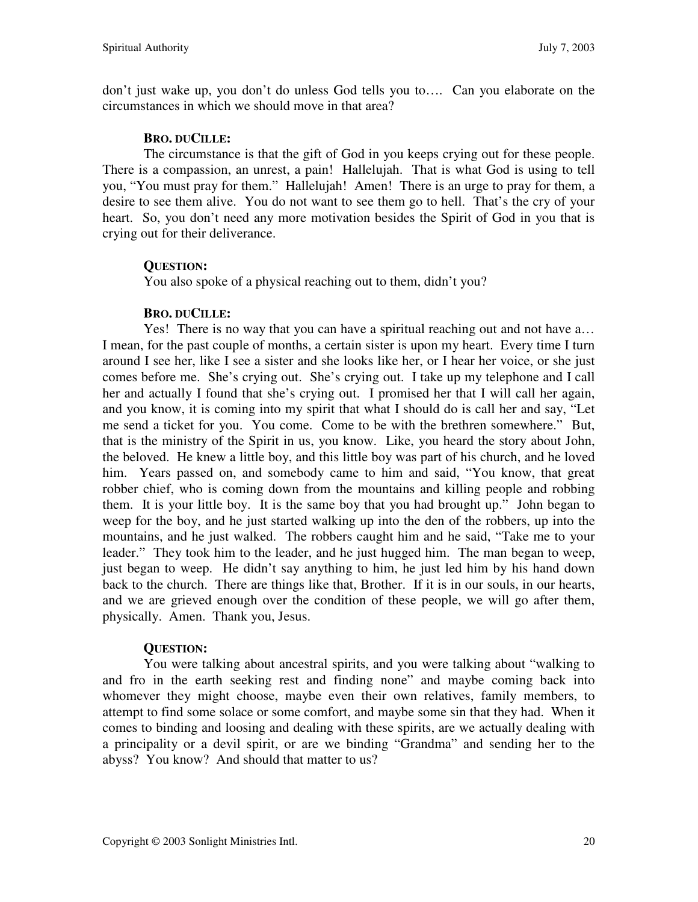don't just wake up, you don't do unless God tells you to…. Can you elaborate on the circumstances in which we should move in that area?

## **BRO. DUCILLE:**

The circumstance is that the gift of God in you keeps crying out for these people. There is a compassion, an unrest, a pain! Hallelujah. That is what God is using to tell you, "You must pray for them." Hallelujah! Amen! There is an urge to pray for them, a desire to see them alive. You do not want to see them go to hell. That's the cry of your heart. So, you don't need any more motivation besides the Spirit of God in you that is crying out for their deliverance.

# **QUESTION:**

You also spoke of a physical reaching out to them, didn't you?

# **BRO. DUCILLE:**

Yes! There is no way that you can have a spiritual reaching out and not have a… I mean, for the past couple of months, a certain sister is upon my heart. Every time I turn around I see her, like I see a sister and she looks like her, or I hear her voice, or she just comes before me. She's crying out. She's crying out. I take up my telephone and I call her and actually I found that she's crying out. I promised her that I will call her again, and you know, it is coming into my spirit that what I should do is call her and say, "Let me send a ticket for you. You come. Come to be with the brethren somewhere." But, that is the ministry of the Spirit in us, you know. Like, you heard the story about John, the beloved. He knew a little boy, and this little boy was part of his church, and he loved him. Years passed on, and somebody came to him and said, "You know, that great robber chief, who is coming down from the mountains and killing people and robbing them. It is your little boy. It is the same boy that you had brought up." John began to weep for the boy, and he just started walking up into the den of the robbers, up into the mountains, and he just walked. The robbers caught him and he said, "Take me to your leader." They took him to the leader, and he just hugged him. The man began to weep, just began to weep. He didn't say anything to him, he just led him by his hand down back to the church. There are things like that, Brother. If it is in our souls, in our hearts, and we are grieved enough over the condition of these people, we will go after them, physically. Amen. Thank you, Jesus.

# **QUESTION:**

You were talking about ancestral spirits, and you were talking about "walking to and fro in the earth seeking rest and finding none" and maybe coming back into whomever they might choose, maybe even their own relatives, family members, to attempt to find some solace or some comfort, and maybe some sin that they had. When it comes to binding and loosing and dealing with these spirits, are we actually dealing with a principality or a devil spirit, or are we binding "Grandma" and sending her to the abyss? You know? And should that matter to us?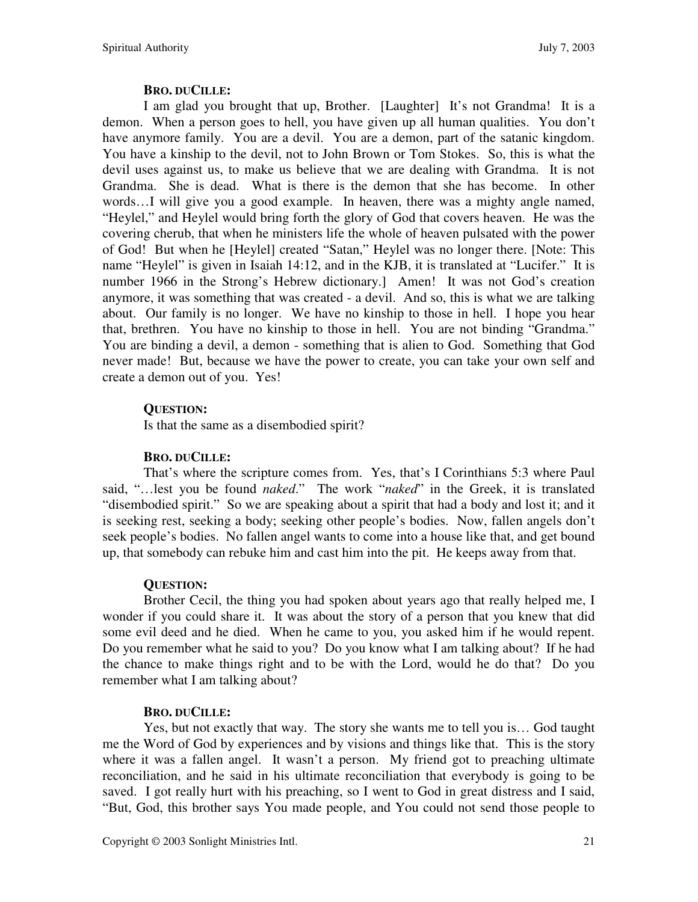#### **BRO. DUCILLE:**

I am glad you brought that up, Brother. [Laughter] It's not Grandma! It is a demon. When a person goes to hell, you have given up all human qualities. You don't have anymore family. You are a devil. You are a demon, part of the satanic kingdom. You have a kinship to the devil, not to John Brown or Tom Stokes. So, this is what the devil uses against us, to make us believe that we are dealing with Grandma. It is not Grandma. She is dead. What is there is the demon that she has become. In other words…I will give you a good example. In heaven, there was a mighty angle named, "Heylel," and Heylel would bring forth the glory of God that covers heaven. He was the covering cherub, that when he ministers life the whole of heaven pulsated with the power of God! But when he [Heylel] created "Satan," Heylel was no longer there. [Note: This name "Heylel" is given in Isaiah 14:12, and in the KJB, it is translated at "Lucifer." It is number 1966 in the Strong's Hebrew dictionary.] Amen! It was not God's creation anymore, it was something that was created - a devil. And so, this is what we are talking about. Our family is no longer. We have no kinship to those in hell. I hope you hear that, brethren. You have no kinship to those in hell. You are not binding "Grandma." You are binding a devil, a demon - something that is alien to God. Something that God never made! But, because we have the power to create, you can take your own self and create a demon out of you. Yes!

## **QUESTION:**

Is that the same as a disembodied spirit?

## **BRO. DUCILLE:**

That's where the scripture comes from. Yes, that's I Corinthians 5:3 where Paul said, "…lest you be found *naked*." The work "*naked*" in the Greek, it is translated "disembodied spirit." So we are speaking about a spirit that had a body and lost it; and it is seeking rest, seeking a body; seeking other people's bodies. Now, fallen angels don't seek people's bodies. No fallen angel wants to come into a house like that, and get bound up, that somebody can rebuke him and cast him into the pit. He keeps away from that.

## **QUESTION:**

Brother Cecil, the thing you had spoken about years ago that really helped me, I wonder if you could share it. It was about the story of a person that you knew that did some evil deed and he died. When he came to you, you asked him if he would repent. Do you remember what he said to you? Do you know what I am talking about? If he had the chance to make things right and to be with the Lord, would he do that? Do you remember what I am talking about?

## **BRO. DUCILLE:**

Yes, but not exactly that way. The story she wants me to tell you is… God taught me the Word of God by experiences and by visions and things like that. This is the story where it was a fallen angel. It wasn't a person. My friend got to preaching ultimate reconciliation, and he said in his ultimate reconciliation that everybody is going to be saved. I got really hurt with his preaching, so I went to God in great distress and I said, "But, God, this brother says You made people, and You could not send those people to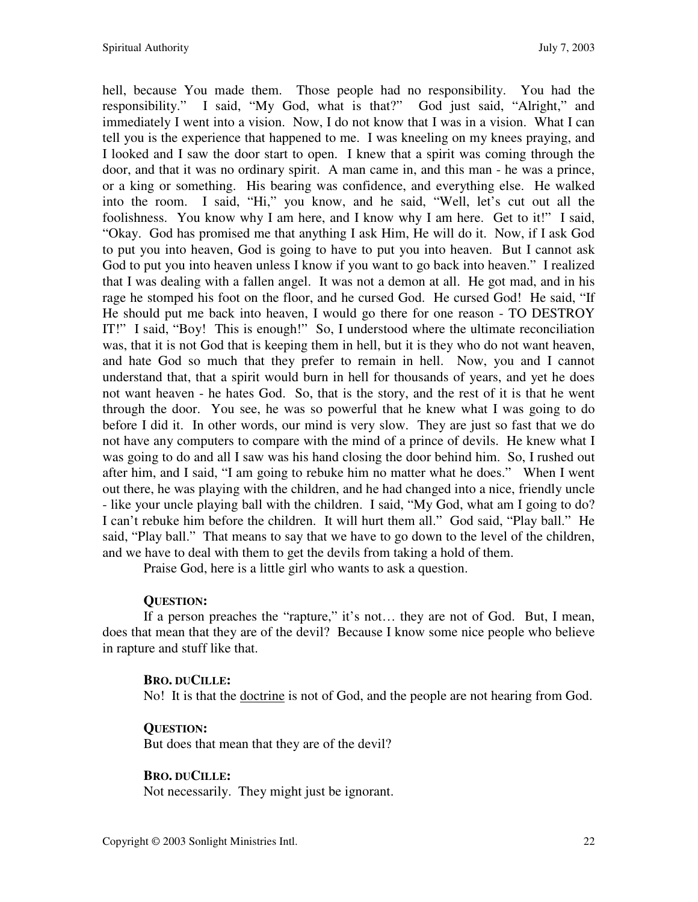hell, because You made them. Those people had no responsibility. You had the responsibility." I said, "My God, what is that?" God just said, "Alright," and immediately I went into a vision. Now, I do not know that I was in a vision. What I can tell you is the experience that happened to me. I was kneeling on my knees praying, and I looked and I saw the door start to open. I knew that a spirit was coming through the door, and that it was no ordinary spirit. A man came in, and this man - he was a prince, or a king or something. His bearing was confidence, and everything else. He walked into the room. I said, "Hi," you know, and he said, "Well, let's cut out all the foolishness. You know why I am here, and I know why I am here. Get to it!" I said, "Okay. God has promised me that anything I ask Him, He will do it. Now, if I ask God to put you into heaven, God is going to have to put you into heaven. But I cannot ask God to put you into heaven unless I know if you want to go back into heaven." I realized that I was dealing with a fallen angel. It was not a demon at all. He got mad, and in his rage he stomped his foot on the floor, and he cursed God. He cursed God! He said, "If He should put me back into heaven, I would go there for one reason - TO DESTROY IT!" I said, "Boy! This is enough!" So, I understood where the ultimate reconciliation was, that it is not God that is keeping them in hell, but it is they who do not want heaven, and hate God so much that they prefer to remain in hell. Now, you and I cannot understand that, that a spirit would burn in hell for thousands of years, and yet he does not want heaven - he hates God. So, that is the story, and the rest of it is that he went through the door. You see, he was so powerful that he knew what I was going to do before I did it. In other words, our mind is very slow. They are just so fast that we do not have any computers to compare with the mind of a prince of devils. He knew what I was going to do and all I saw was his hand closing the door behind him. So, I rushed out after him, and I said, "I am going to rebuke him no matter what he does." When I went out there, he was playing with the children, and he had changed into a nice, friendly uncle - like your uncle playing ball with the children. I said, "My God, what am I going to do? I can't rebuke him before the children. It will hurt them all." God said, "Play ball." He said, "Play ball." That means to say that we have to go down to the level of the children, and we have to deal with them to get the devils from taking a hold of them.

Praise God, here is a little girl who wants to ask a question.

# **QUESTION:**

If a person preaches the "rapture," it's not… they are not of God. But, I mean, does that mean that they are of the devil? Because I know some nice people who believe in rapture and stuff like that.

# **BRO. DUCILLE:**

No! It is that the doctrine is not of God, and the people are not hearing from God.

# **QUESTION:**

But does that mean that they are of the devil?

## **BRO. DUCILLE:**

Not necessarily. They might just be ignorant.